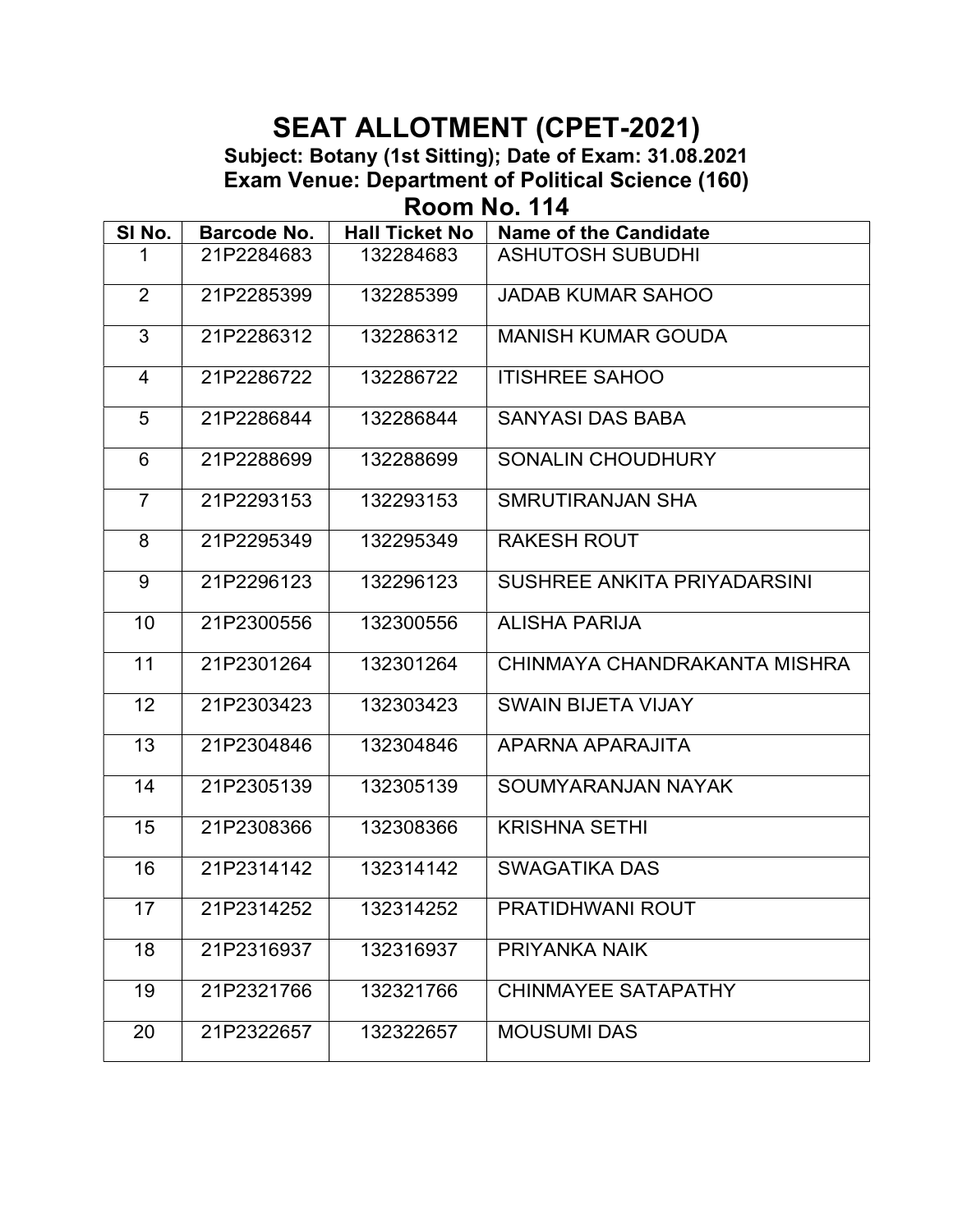Room No. 114

| <b>ASHUTOSH SUBUDHI</b><br>21P2284683<br>132284683<br>$\overline{2}$<br>132285399<br><b>JADAB KUMAR SAHOO</b><br>21P2285399<br>3<br>132286312<br><b>MANISH KUMAR GOUDA</b><br>21P2286312<br><b>ITISHREE SAHOO</b><br>21P2286722<br>132286722<br>4<br>$5\overline{)}$<br>21P2286844<br>132286844<br><b>SANYASI DAS BABA</b><br>6<br>21P2288699<br>132288699<br>SONALIN CHOUDHURY<br>$\overline{7}$<br>21P2293153<br>132293153<br>SMRUTIRANJAN SHA<br><b>RAKESH ROUT</b><br>8<br>21P2295349<br>132295349<br>9<br>21P2296123<br>132296123<br>SUSHREE ANKITA PRIYADARSINI<br>21P2300556<br>132300556<br><b>ALISHA PARIJA</b><br>10<br>21P2301264<br>132301264<br>CHINMAYA CHANDRAKANTA MISHRA<br>11<br>12<br>132303423<br><b>SWAIN BIJETA VIJAY</b><br>21P2303423<br>13<br>21P2304846<br>132304846<br>APARNA APARAJITA<br>14<br>21P2305139<br>132305139<br>SOUMYARANJAN NAYAK<br>15<br>132308366<br><b>KRISHNA SETHI</b><br>21P2308366<br>21P2314142<br>132314142<br><b>SWAGATIKA DAS</b><br>16<br>17<br>21P2314252<br>132314252<br>PRATIDHWANI ROUT<br>18<br>132316937<br>21P2316937<br>PRIYANKA NAIK<br>132321766<br>19<br>21P2321766<br><b>CHINMAYEE SATAPATHY</b> | SINo. | Barcode No. | <b>Hall Ticket No</b> | <b>Name of the Candidate</b> |
|-------------------------------------------------------------------------------------------------------------------------------------------------------------------------------------------------------------------------------------------------------------------------------------------------------------------------------------------------------------------------------------------------------------------------------------------------------------------------------------------------------------------------------------------------------------------------------------------------------------------------------------------------------------------------------------------------------------------------------------------------------------------------------------------------------------------------------------------------------------------------------------------------------------------------------------------------------------------------------------------------------------------------------------------------------------------------------------------------------------------------------------------------------------------|-------|-------------|-----------------------|------------------------------|
|                                                                                                                                                                                                                                                                                                                                                                                                                                                                                                                                                                                                                                                                                                                                                                                                                                                                                                                                                                                                                                                                                                                                                                   |       |             |                       |                              |
|                                                                                                                                                                                                                                                                                                                                                                                                                                                                                                                                                                                                                                                                                                                                                                                                                                                                                                                                                                                                                                                                                                                                                                   |       |             |                       |                              |
|                                                                                                                                                                                                                                                                                                                                                                                                                                                                                                                                                                                                                                                                                                                                                                                                                                                                                                                                                                                                                                                                                                                                                                   |       |             |                       |                              |
|                                                                                                                                                                                                                                                                                                                                                                                                                                                                                                                                                                                                                                                                                                                                                                                                                                                                                                                                                                                                                                                                                                                                                                   |       |             |                       |                              |
|                                                                                                                                                                                                                                                                                                                                                                                                                                                                                                                                                                                                                                                                                                                                                                                                                                                                                                                                                                                                                                                                                                                                                                   |       |             |                       |                              |
|                                                                                                                                                                                                                                                                                                                                                                                                                                                                                                                                                                                                                                                                                                                                                                                                                                                                                                                                                                                                                                                                                                                                                                   |       |             |                       |                              |
|                                                                                                                                                                                                                                                                                                                                                                                                                                                                                                                                                                                                                                                                                                                                                                                                                                                                                                                                                                                                                                                                                                                                                                   |       |             |                       |                              |
|                                                                                                                                                                                                                                                                                                                                                                                                                                                                                                                                                                                                                                                                                                                                                                                                                                                                                                                                                                                                                                                                                                                                                                   |       |             |                       |                              |
|                                                                                                                                                                                                                                                                                                                                                                                                                                                                                                                                                                                                                                                                                                                                                                                                                                                                                                                                                                                                                                                                                                                                                                   |       |             |                       |                              |
|                                                                                                                                                                                                                                                                                                                                                                                                                                                                                                                                                                                                                                                                                                                                                                                                                                                                                                                                                                                                                                                                                                                                                                   |       |             |                       |                              |
|                                                                                                                                                                                                                                                                                                                                                                                                                                                                                                                                                                                                                                                                                                                                                                                                                                                                                                                                                                                                                                                                                                                                                                   |       |             |                       |                              |
|                                                                                                                                                                                                                                                                                                                                                                                                                                                                                                                                                                                                                                                                                                                                                                                                                                                                                                                                                                                                                                                                                                                                                                   |       |             |                       |                              |
|                                                                                                                                                                                                                                                                                                                                                                                                                                                                                                                                                                                                                                                                                                                                                                                                                                                                                                                                                                                                                                                                                                                                                                   |       |             |                       |                              |
|                                                                                                                                                                                                                                                                                                                                                                                                                                                                                                                                                                                                                                                                                                                                                                                                                                                                                                                                                                                                                                                                                                                                                                   |       |             |                       |                              |
|                                                                                                                                                                                                                                                                                                                                                                                                                                                                                                                                                                                                                                                                                                                                                                                                                                                                                                                                                                                                                                                                                                                                                                   |       |             |                       |                              |
|                                                                                                                                                                                                                                                                                                                                                                                                                                                                                                                                                                                                                                                                                                                                                                                                                                                                                                                                                                                                                                                                                                                                                                   |       |             |                       |                              |
|                                                                                                                                                                                                                                                                                                                                                                                                                                                                                                                                                                                                                                                                                                                                                                                                                                                                                                                                                                                                                                                                                                                                                                   |       |             |                       |                              |
|                                                                                                                                                                                                                                                                                                                                                                                                                                                                                                                                                                                                                                                                                                                                                                                                                                                                                                                                                                                                                                                                                                                                                                   |       |             |                       |                              |
|                                                                                                                                                                                                                                                                                                                                                                                                                                                                                                                                                                                                                                                                                                                                                                                                                                                                                                                                                                                                                                                                                                                                                                   |       |             |                       |                              |
| 132322657<br><b>MOUSUMI DAS</b><br>20<br>21P2322657                                                                                                                                                                                                                                                                                                                                                                                                                                                                                                                                                                                                                                                                                                                                                                                                                                                                                                                                                                                                                                                                                                               |       |             |                       |                              |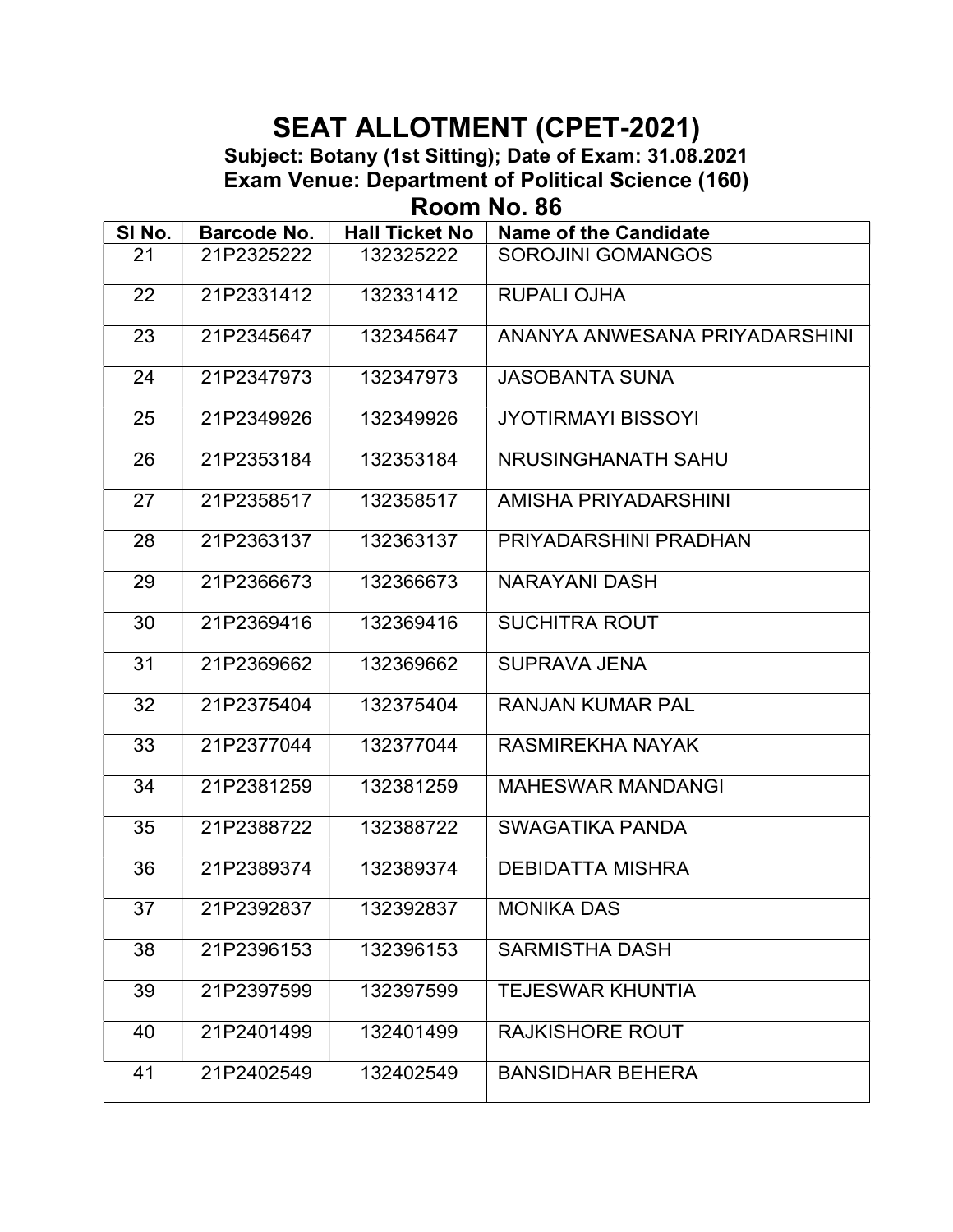Room No. 86

| SI No. | <b>Barcode No.</b> | <b>Hall Ticket No</b> | <b>Name of the Candidate</b>  |  |
|--------|--------------------|-----------------------|-------------------------------|--|
| 21     | 21P2325222         | 132325222             | <b>SOROJINI GOMANGOS</b>      |  |
| 22     | 21P2331412         | 132331412             | <b>RUPALI OJHA</b>            |  |
| 23     | 21P2345647         | 132345647             | ANANYA ANWESANA PRIYADARSHINI |  |
| 24     | 21P2347973         | 132347973             | <b>JASOBANTA SUNA</b>         |  |
| 25     | 21P2349926         | 132349926             | <b>JYOTIRMAYI BISSOYI</b>     |  |
| 26     | 21P2353184         | 132353184             | NRUSINGHANATH SAHU            |  |
| 27     | 21P2358517         | 132358517             | AMISHA PRIYADARSHINI          |  |
| 28     | 21P2363137         | 132363137             | PRIYADARSHINI PRADHAN         |  |
| 29     | 21P2366673         | 132366673             | <b>NARAYANI DASH</b>          |  |
| 30     | 21P2369416         | 132369416             | <b>SUCHITRA ROUT</b>          |  |
| 31     | 21P2369662         | 132369662             | <b>SUPRAVA JENA</b>           |  |
| 32     | 21P2375404         | 132375404             | <b>RANJAN KUMAR PAL</b>       |  |
| 33     | 21P2377044         | 132377044             | <b>RASMIREKHA NAYAK</b>       |  |
| 34     | 21P2381259         | 132381259             | <b>MAHESWAR MANDANGI</b>      |  |
| 35     | 21P2388722         | 132388722             | <b>SWAGATIKA PANDA</b>        |  |
| 36     | 21P2389374         | 132389374             | <b>DEBIDATTA MISHRA</b>       |  |
| 37     | 21P2392837         | 132392837             | <b>MONIKA DAS</b>             |  |
| 38     | 21P2396153         | 132396153             | <b>SARMISTHA DASH</b>         |  |
| 39     | 21P2397599         | 132397599             | <b>TEJESWAR KHUNTIA</b>       |  |
| 40     | 21P2401499         | 132401499             | <b>RAJKISHORE ROUT</b>        |  |
| 41     | 21P2402549         | 132402549             | <b>BANSIDHAR BEHERA</b>       |  |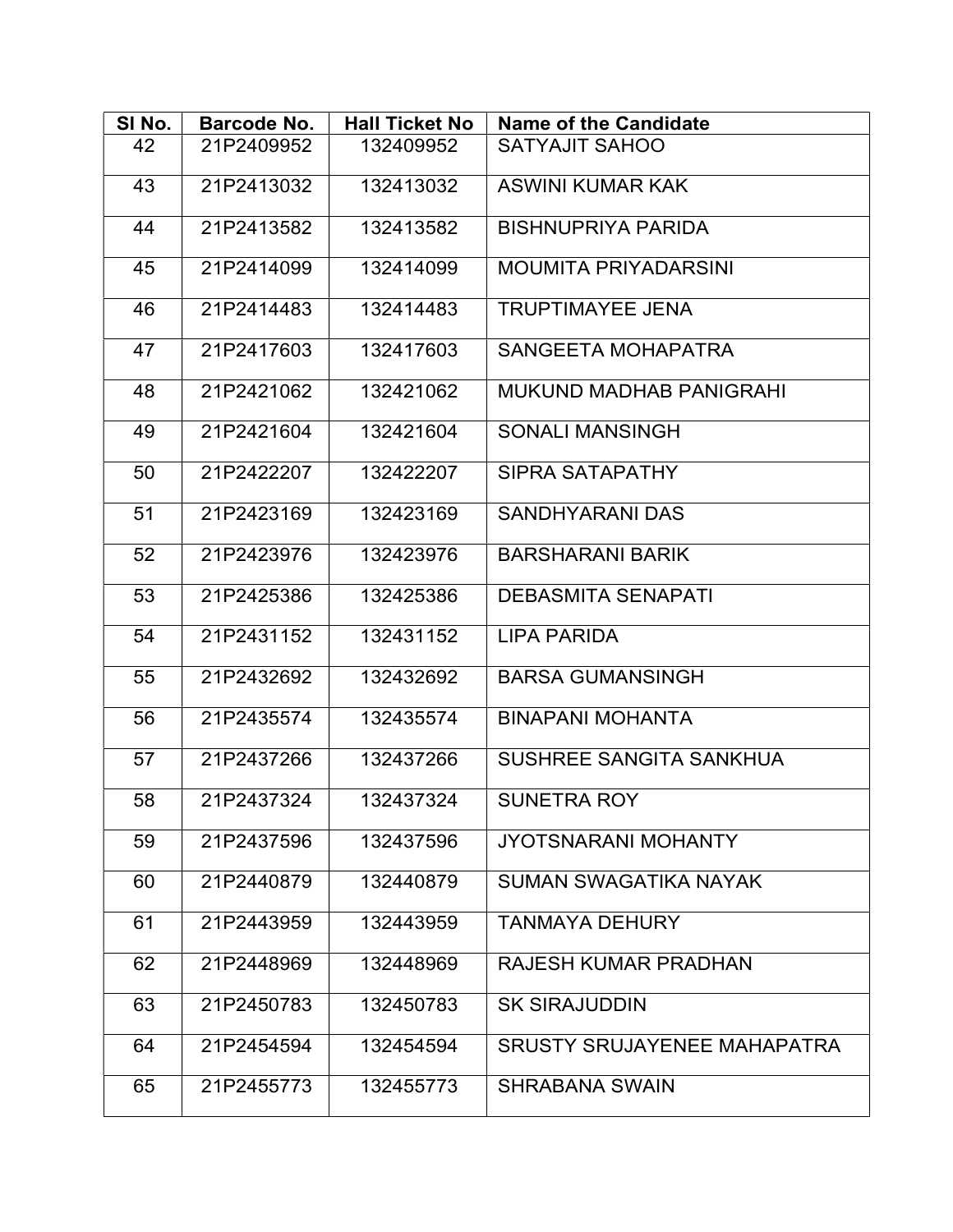| SINO. | <b>Barcode No.</b> | <b>Hall Ticket No</b> | <b>Name of the Candidate</b>       |
|-------|--------------------|-----------------------|------------------------------------|
| 42    | 21P2409952         | 132409952             | <b>SATYAJIT SAHOO</b>              |
| 43    | 21P2413032         | 132413032             | <b>ASWINI KUMAR KAK</b>            |
| 44    | 21P2413582         | 132413582             | <b>BISHNUPRIYA PARIDA</b>          |
| 45    | 21P2414099         | 132414099             | <b>MOUMITA PRIYADARSINI</b>        |
| 46    | 21P2414483         | 132414483             | <b>TRUPTIMAYEE JENA</b>            |
| 47    | 21P2417603         | 132417603             | SANGEETA MOHAPATRA                 |
| 48    | 21P2421062         | 132421062             | <b>MUKUND MADHAB PANIGRAHI</b>     |
| 49    | 21P2421604         | 132421604             | <b>SONALI MANSINGH</b>             |
| 50    | 21P2422207         | 132422207             | SIPRA SATAPATHY                    |
| 51    | 21P2423169         | 132423169             | <b>SANDHYARANI DAS</b>             |
| 52    | 21P2423976         | 132423976             | <b>BARSHARANI BARIK</b>            |
| 53    | 21P2425386         | 132425386             | <b>DEBASMITA SENAPATI</b>          |
| 54    | 21P2431152         | 132431152             | LIPA PARIDA                        |
| 55    | 21P2432692         | 132432692             | <b>BARSA GUMANSINGH</b>            |
| 56    | 21P2435574         | 132435574             | <b>BINAPANI MOHANTA</b>            |
| 57    | 21P2437266         | 132437266             | SUSHREE SANGITA SANKHUA            |
| 58    | 21P2437324         | 132437324             | SUNETRA ROY                        |
| 59    | 21P2437596         | 132437596             | <b>JYOTSNARANI MOHANTY</b>         |
| 60    | 21P2440879         | 132440879             | SUMAN SWAGATIKA NAYAK              |
| 61    | 21P2443959         | 132443959             | <b>TANMAYA DEHURY</b>              |
| 62    | 21P2448969         | 132448969             | <b>RAJESH KUMAR PRADHAN</b>        |
| 63    | 21P2450783         | 132450783             | <b>SK SIRAJUDDIN</b>               |
| 64    | 21P2454594         | 132454594             | <b>SRUSTY SRUJAYENEE MAHAPATRA</b> |
| 65    | 21P2455773         | 132455773             | <b>SHRABANA SWAIN</b>              |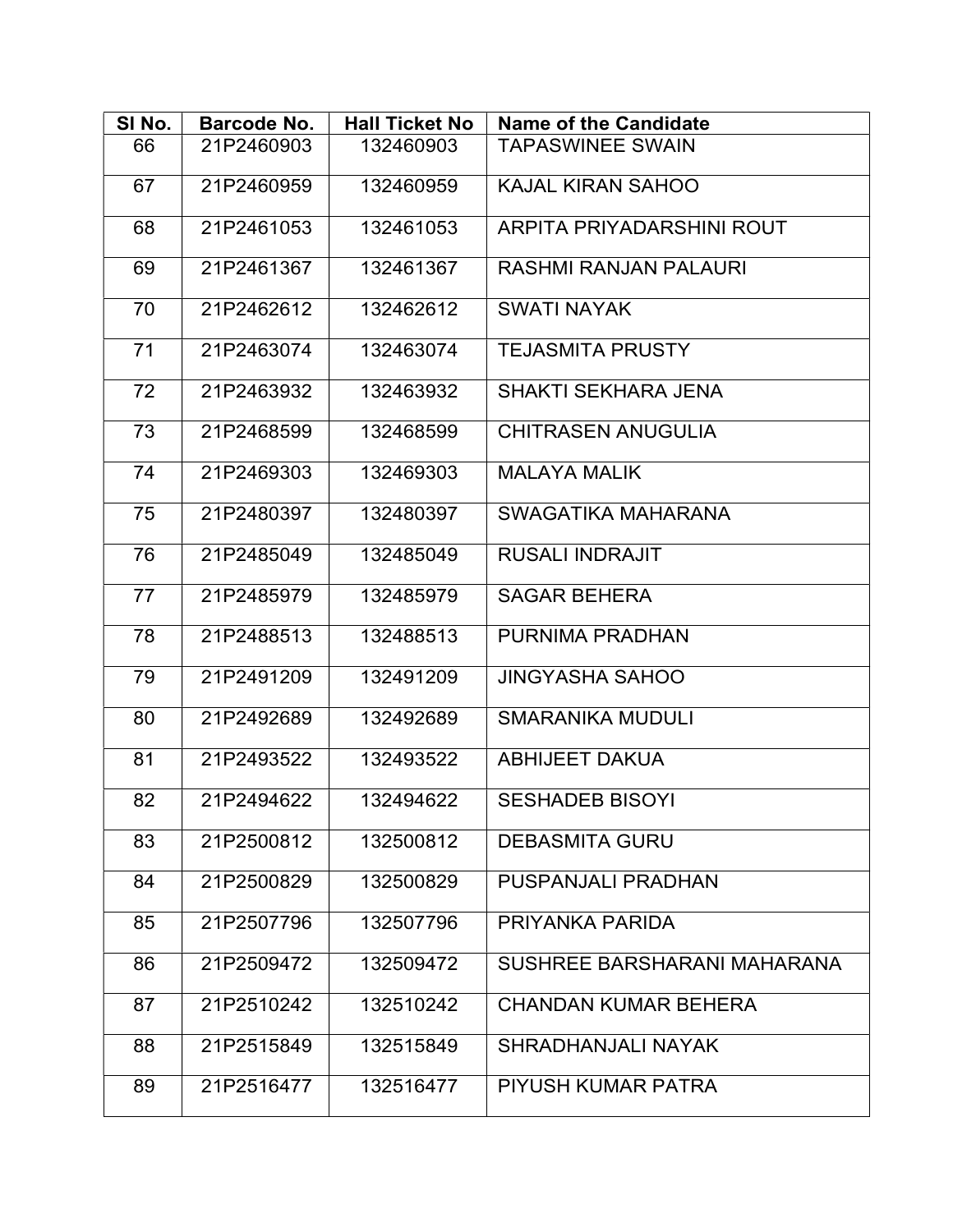| SINO. | <b>Barcode No.</b> | <b>Hall Ticket No</b> | <b>Name of the Candidate</b> |  |
|-------|--------------------|-----------------------|------------------------------|--|
| 66    | 21P2460903         | 132460903             | <b>TAPASWINEE SWAIN</b>      |  |
| 67    | 21P2460959         | 132460959             | <b>KAJAL KIRAN SAHOO</b>     |  |
| 68    | 21P2461053         | 132461053             | ARPITA PRIYADARSHINI ROUT    |  |
| 69    | 21P2461367         | 132461367             | <b>RASHMI RANJAN PALAURI</b> |  |
| 70    | 21P2462612         | 132462612             | <b>SWATI NAYAK</b>           |  |
| 71    | 21P2463074         | 132463074             | <b>TEJASMITA PRUSTY</b>      |  |
| 72    | 21P2463932         | 132463932             | <b>SHAKTI SEKHARA JENA</b>   |  |
| 73    | 21P2468599         | 132468599             | <b>CHITRASEN ANUGULIA</b>    |  |
| 74    | 21P2469303         | 132469303             | <b>MALAYA MALIK</b>          |  |
| 75    | 21P2480397         | 132480397             | SWAGATIKA MAHARANA           |  |
| 76    | 21P2485049         | 132485049             | <b>RUSALI INDRAJIT</b>       |  |
| 77    | 21P2485979         | 132485979             | <b>SAGAR BEHERA</b>          |  |
| 78    | 21P2488513         | 132488513             | PURNIMA PRADHAN              |  |
| 79    | 21P2491209         | 132491209             | <b>JINGYASHA SAHOO</b>       |  |
| 80    | 21P2492689         | 132492689             | <b>SMARANIKA MUDULI</b>      |  |
| 81    | 21P2493522         | 132493522             | <b>ABHIJEET DAKUA</b>        |  |
| 82    | 21P2494622         | 132494622             | <b>SESHADEB BISOYI</b>       |  |
| 83    | 21P2500812         | 132500812             | <b>DEBASMITA GURU</b>        |  |
| 84    | 21P2500829         | 132500829             | PUSPANJALI PRADHAN           |  |
| 85    | 21P2507796         | 132507796             | PRIYANKA PARIDA              |  |
| 86    | 21P2509472         | 132509472             | SUSHREE BARSHARANI MAHARANA  |  |
| 87    | 21P2510242         | 132510242             | <b>CHANDAN KUMAR BEHERA</b>  |  |
| 88    | 21P2515849         | 132515849             | <b>SHRADHANJALI NAYAK</b>    |  |
| 89    | 21P2516477         | 132516477             | PIYUSH KUMAR PATRA           |  |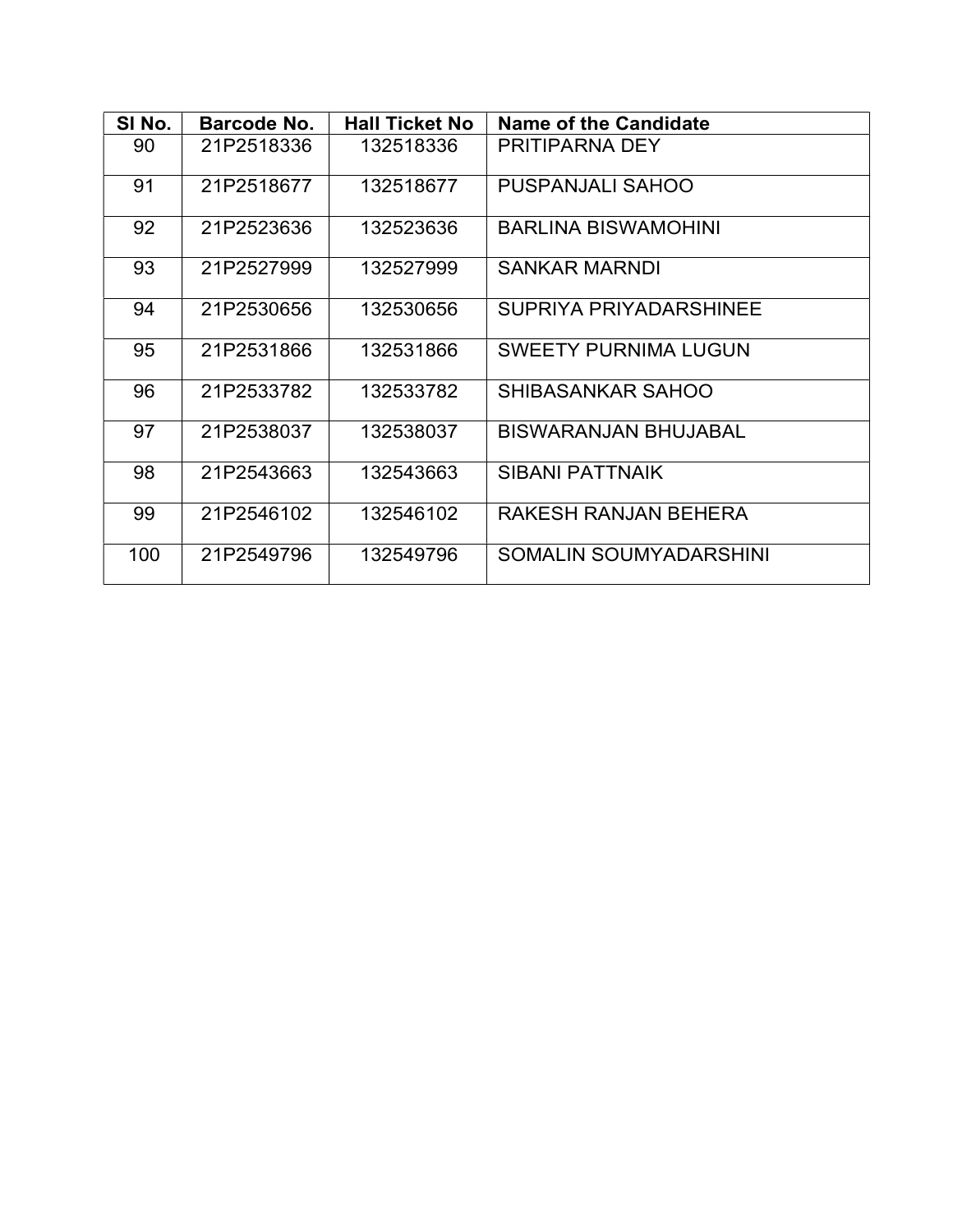| SI No. | Barcode No. | <b>Hall Ticket No</b> | Name of the Candidate         |  |
|--------|-------------|-----------------------|-------------------------------|--|
| 90     | 21P2518336  | 132518336             | <b>PRITIPARNA DEY</b>         |  |
| 91     | 21P2518677  | 132518677             | <b>PUSPANJALI SAHOO</b>       |  |
| 92     | 21P2523636  | 132523636             | <b>BARLINA BISWAMOHINI</b>    |  |
| 93     | 21P2527999  | 132527999             | <b>SANKAR MARNDI</b>          |  |
| 94     | 21P2530656  | 132530656             | <b>SUPRIYA PRIYADARSHINEE</b> |  |
| 95     | 21P2531866  | 132531866             | <b>SWEETY PURNIMA LUGUN</b>   |  |
| 96     | 21P2533782  | 132533782             | SHIBASANKAR SAHOO             |  |
| 97     | 21P2538037  | 132538037             | <b>BISWARANJAN BHUJABAL</b>   |  |
| 98     | 21P2543663  | 132543663             | <b>SIBANI PATTNAIK</b>        |  |
| 99     | 21P2546102  | 132546102             | RAKESH RANJAN BEHERA          |  |
| 100    | 21P2549796  | 132549796             | SOMALIN SOUMYADARSHINI        |  |
|        |             |                       |                               |  |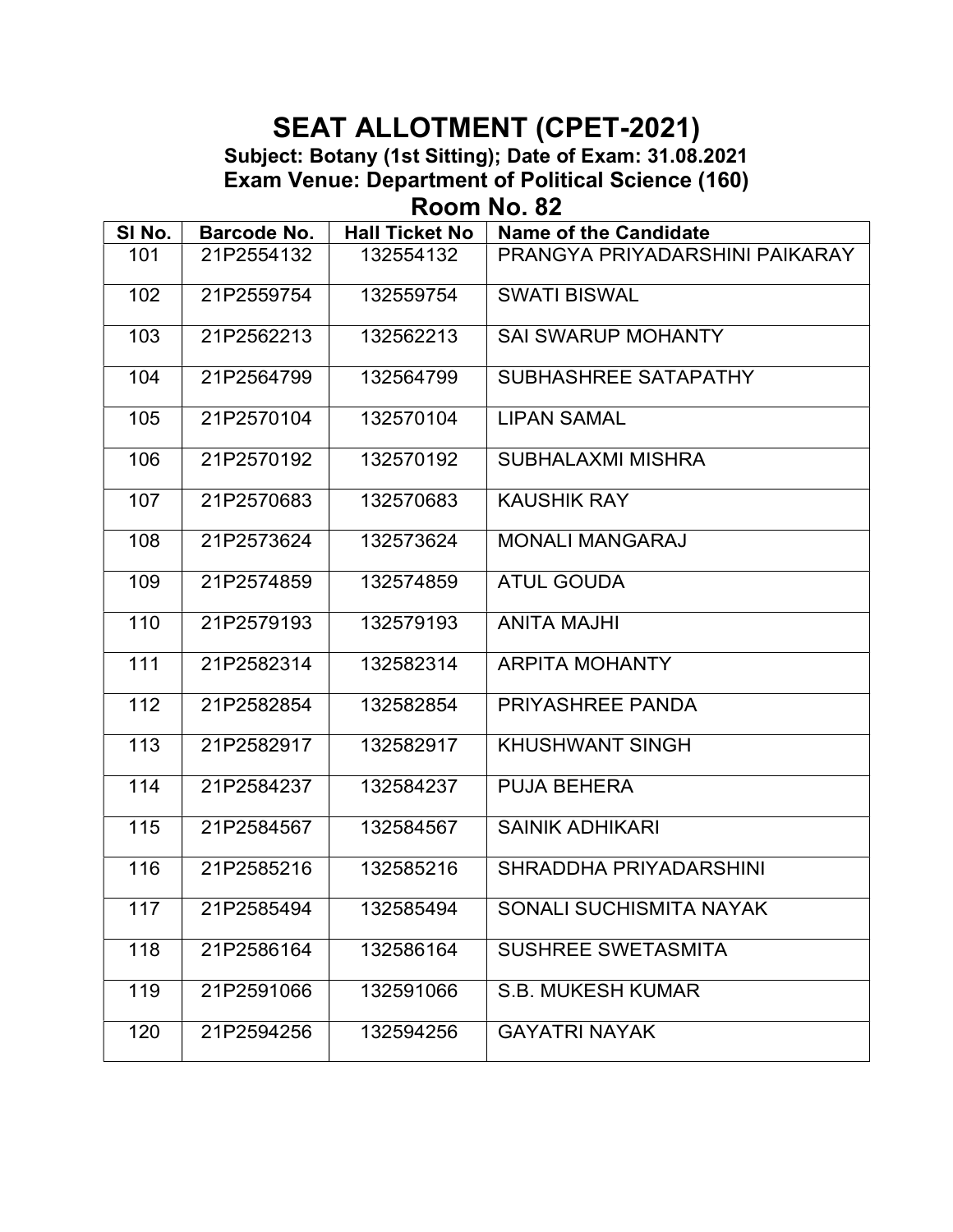Room No. 82

| SI No. | <b>Barcode No.</b> | <b>Hall Ticket No</b> | <b>Name of the Candidate</b>   |
|--------|--------------------|-----------------------|--------------------------------|
| 101    | 21P2554132         | 132554132             | PRANGYA PRIYADARSHINI PAIKARAY |
| 102    | 21P2559754         | 132559754             | <b>SWATI BISWAL</b>            |
| 103    | 21P2562213         | 132562213             | <b>SAI SWARUP MOHANTY</b>      |
| 104    | 21P2564799         | 132564799             | SUBHASHREE SATAPATHY           |
| 105    | 21P2570104         | 132570104             | <b>LIPAN SAMAL</b>             |
| 106    | 21P2570192         | 132570192             | <b>SUBHALAXMI MISHRA</b>       |
| 107    | 21P2570683         | 132570683             | <b>KAUSHIK RAY</b>             |
| 108    | 21P2573624         | 132573624             | <b>MONALI MANGARAJ</b>         |
| 109    | 21P2574859         | 132574859             | <b>ATUL GOUDA</b>              |
| 110    | 21P2579193         | 132579193             | <b>ANITA MAJHI</b>             |
| 111    | 21P2582314         | 132582314             | <b>ARPITA MOHANTY</b>          |
| 112    | 21P2582854         | 132582854             | <b>PRIYASHREE PANDA</b>        |
| 113    | 21P2582917         | 132582917             | <b>KHUSHWANT SINGH</b>         |
| 114    | 21P2584237         | 132584237             | <b>PUJA BEHERA</b>             |
| 115    | 21P2584567         | 132584567             | <b>SAINIK ADHIKARI</b>         |
| 116    | 21P2585216         | 132585216             | SHRADDHA PRIYADARSHINI         |
| 117    | 21P2585494         | 132585494             | SONALI SUCHISMITA NAYAK        |
| 118    | 21P2586164         | 132586164             | <b>SUSHREE SWETASMITA</b>      |
| 119    | 21P2591066         | 132591066             | <b>S.B. MUKESH KUMAR</b>       |
| 120    | 21P2594256         | 132594256             | <b>GAYATRI NAYAK</b>           |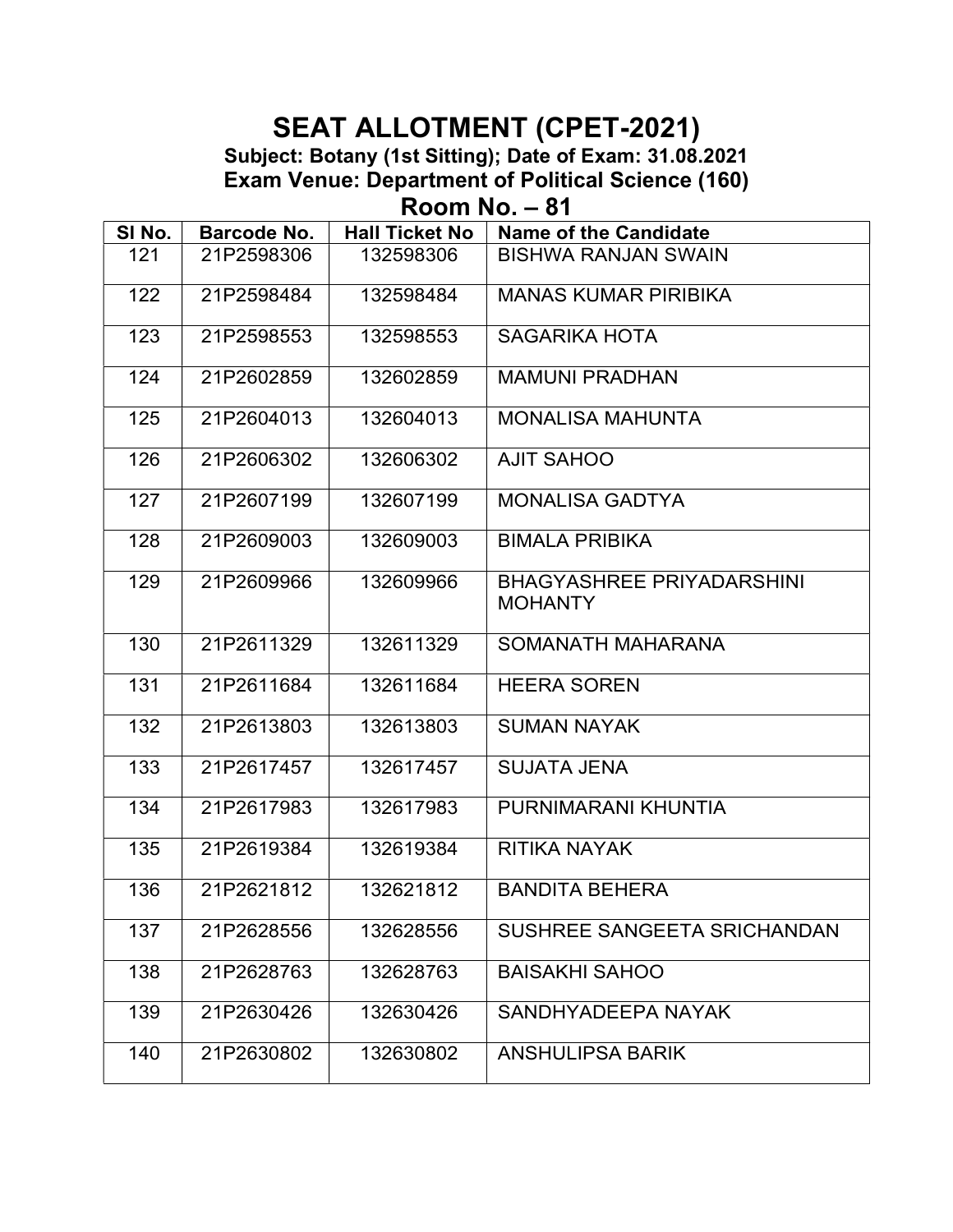Room No. – 81

| SI No. | Barcode No. | <b>Hall Ticket No</b> | Name of the Candidate                              |
|--------|-------------|-----------------------|----------------------------------------------------|
| 121    | 21P2598306  | 132598306             | <b>BISHWA RANJAN SWAIN</b>                         |
| 122    | 21P2598484  | 132598484             | <b>MANAS KUMAR PIRIBIKA</b>                        |
| 123    | 21P2598553  | 132598553             | <b>SAGARIKA HOTA</b>                               |
| 124    | 21P2602859  | 132602859             | <b>MAMUNI PRADHAN</b>                              |
| 125    | 21P2604013  | 132604013             | <b>MONALISA MAHUNTA</b>                            |
| 126    | 21P2606302  | 132606302             | <b>AJIT SAHOO</b>                                  |
| 127    | 21P2607199  | 132607199             | <b>MONALISA GADTYA</b>                             |
| 128    | 21P2609003  | 132609003             | <b>BIMALA PRIBIKA</b>                              |
| 129    | 21P2609966  | 132609966             | <b>BHAGYASHREE PRIYADARSHINI</b><br><b>MOHANTY</b> |
| 130    | 21P2611329  | 132611329             | SOMANATH MAHARANA                                  |
| 131    | 21P2611684  | 132611684             | <b>HEERA SOREN</b>                                 |
| 132    | 21P2613803  | 132613803             | <b>SUMAN NAYAK</b>                                 |
| 133    | 21P2617457  | 132617457             | <b>SUJATA JENA</b>                                 |
| 134    | 21P2617983  | 132617983             | PURNIMARANI KHUNTIA                                |
| 135    | 21P2619384  | 132619384             | <b>RITIKA NAYAK</b>                                |
| 136    | 21P2621812  | 132621812             | <b>BANDITA BEHERA</b>                              |
| 137    | 21P2628556  | 132628556             | SUSHREE SANGEETA SRICHANDAN                        |
| 138    | 21P2628763  | 132628763             | <b>BAISAKHI SAHOO</b>                              |
| 139    | 21P2630426  | 132630426             | SANDHYADEEPA NAYAK                                 |
| 140    | 21P2630802  | 132630802             | <b>ANSHULIPSA BARIK</b>                            |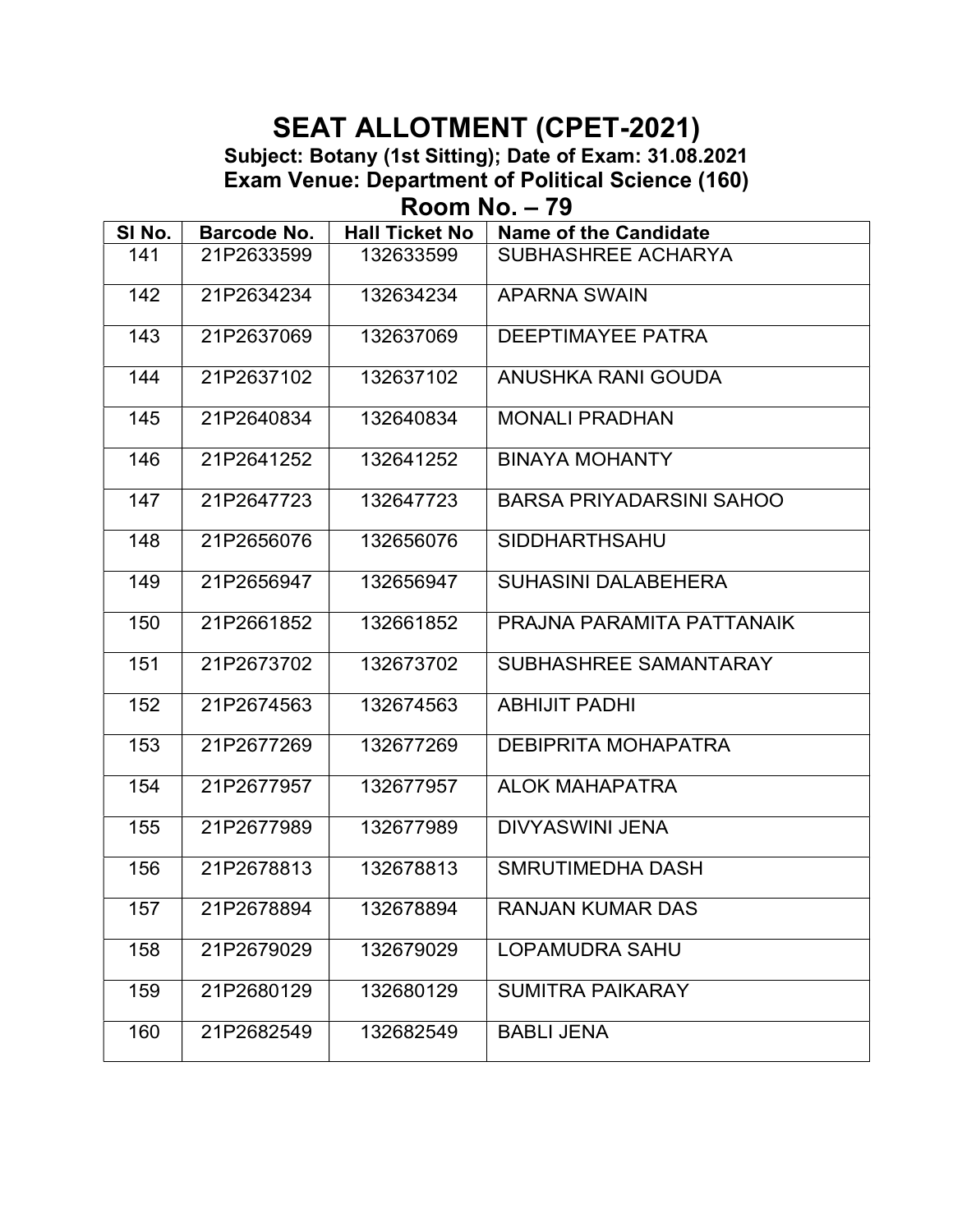Room No. – 79

| SI No. | Barcode No. | <b>Hall Ticket No</b> | <b>Name of the Candidate</b>    |
|--------|-------------|-----------------------|---------------------------------|
| 141    | 21P2633599  | 132633599             | SUBHASHREE ACHARYA              |
| 142    | 21P2634234  | 132634234             | <b>APARNA SWAIN</b>             |
| 143    | 21P2637069  | 132637069             | <b>DEEPTIMAYEE PATRA</b>        |
| 144    | 21P2637102  | 132637102             | ANUSHKA RANI GOUDA              |
| 145    | 21P2640834  | 132640834             | <b>MONALI PRADHAN</b>           |
| 146    | 21P2641252  | 132641252             | <b>BINAYA MOHANTY</b>           |
| 147    | 21P2647723  | 132647723             | <b>BARSA PRIYADARSINI SAHOO</b> |
| 148    | 21P2656076  | 132656076             | <b>SIDDHARTHSAHU</b>            |
| 149    | 21P2656947  | 132656947             | <b>SUHASINI DALABEHERA</b>      |
| 150    | 21P2661852  | 132661852             | PRAJNA PARAMITA PATTANAIK       |
| 151    | 21P2673702  | 132673702             | SUBHASHREE SAMANTARAY           |
| 152    | 21P2674563  | 132674563             | <b>ABHIJIT PADHI</b>            |
| 153    | 21P2677269  | 132677269             | <b>DEBIPRITA MOHAPATRA</b>      |
| 154    | 21P2677957  | 132677957             | <b>ALOK MAHAPATRA</b>           |
| 155    | 21P2677989  | 132677989             | <b>DIVYASWINI JENA</b>          |
| 156    | 21P2678813  | 132678813             | <b>SMRUTIMEDHA DASH</b>         |
| 157    | 21P2678894  | 132678894             | RANJAN KUMAR DAS                |
| 158    | 21P2679029  | 132679029             | <b>LOPAMUDRA SAHU</b>           |
| 159    | 21P2680129  | 132680129             | <b>SUMITRA PAIKARAY</b>         |
| 160    | 21P2682549  | 132682549             | <b>BABLI JENA</b>               |
|        |             |                       |                                 |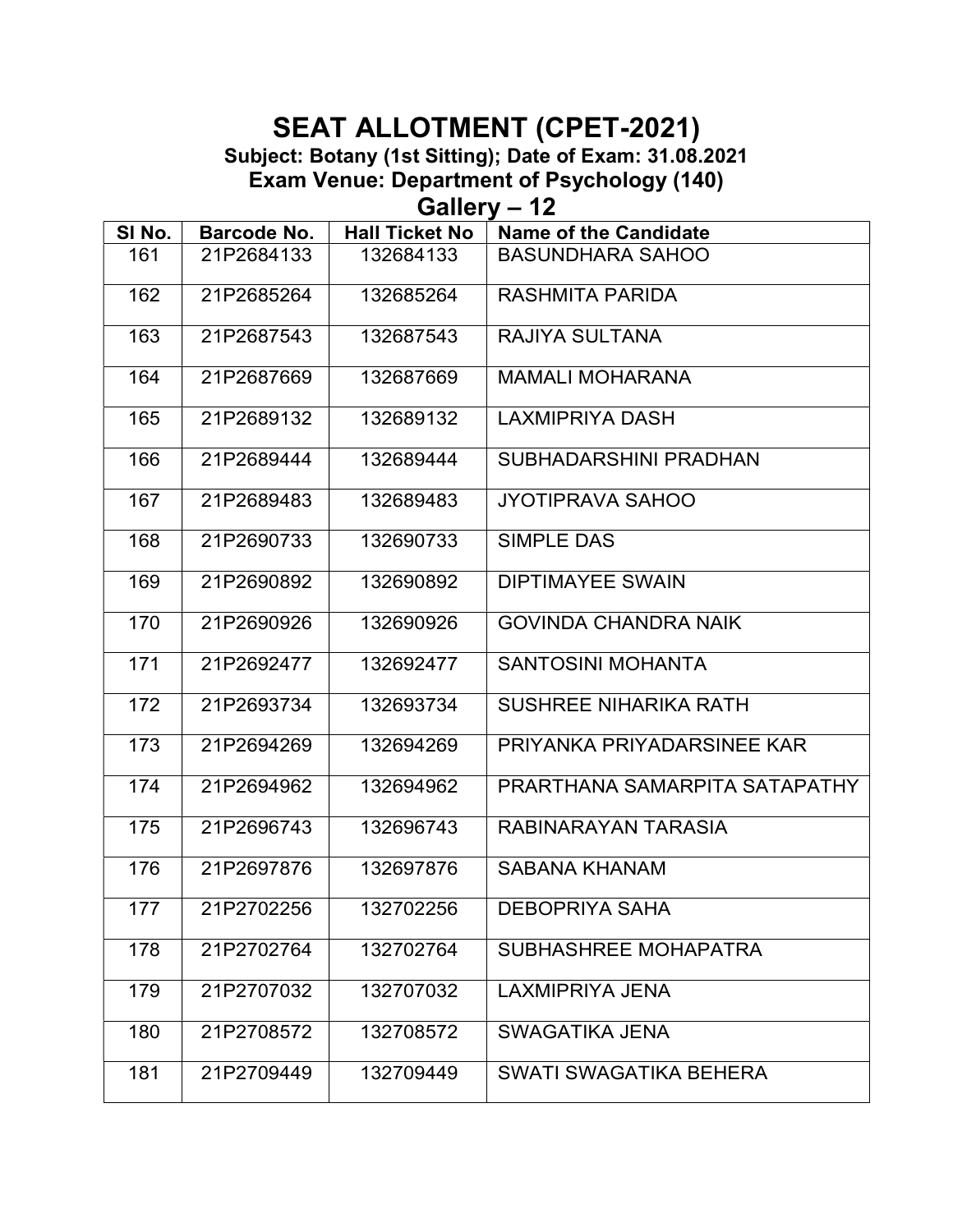Subject: Botany (1st Sitting); Date of Exam: 31.08.2021

Exam Venue: Department of Psychology (140)

Gallery – 12

| SI No. | Barcode No. | <b>Hall Ticket No</b> | <b>Name of the Candidate</b>  |
|--------|-------------|-----------------------|-------------------------------|
| 161    | 21P2684133  | 132684133             | <b>BASUNDHARA SAHOO</b>       |
| 162    | 21P2685264  | 132685264             | <b>RASHMITA PARIDA</b>        |
| 163    | 21P2687543  | 132687543             | RAJIYA SULTANA                |
| 164    | 21P2687669  | 132687669             | <b>MAMALI MOHARANA</b>        |
| 165    | 21P2689132  | 132689132             | <b>LAXMIPRIYA DASH</b>        |
| 166    | 21P2689444  | 132689444             | SUBHADARSHINI PRADHAN         |
| 167    | 21P2689483  | 132689483             | <b>JYOTIPRAVA SAHOO</b>       |
| 168    | 21P2690733  | 132690733             | SIMPLE DAS                    |
| 169    | 21P2690892  | 132690892             | <b>DIPTIMAYEE SWAIN</b>       |
| 170    | 21P2690926  | 132690926             | <b>GOVINDA CHANDRA NAIK</b>   |
| 171    | 21P2692477  | 132692477             | <b>SANTOSINI MOHANTA</b>      |
| 172    | 21P2693734  | 132693734             | <b>SUSHREE NIHARIKA RATH</b>  |
| 173    | 21P2694269  | 132694269             | PRIYANKA PRIYADARSINEE KAR    |
| 174    | 21P2694962  | 132694962             | PRARTHANA SAMARPITA SATAPATHY |
| 175    | 21P2696743  | 132696743             | RABINARAYAN TARASIA           |
| 176    | 21P2697876  | 132697876             | <b>SABANA KHANAM</b>          |
| 177    | 21P2702256  | 132702256             | <b>DEBOPRIYA SAHA</b>         |
| 178    | 21P2702764  | 132702764             | SUBHASHREE MOHAPATRA          |
| 179    | 21P2707032  | 132707032             | <b>LAXMIPRIYA JENA</b>        |
| 180    | 21P2708572  | 132708572             | <b>SWAGATIKA JENA</b>         |
| 181    | 21P2709449  | 132709449             | SWATI SWAGATIKA BEHERA        |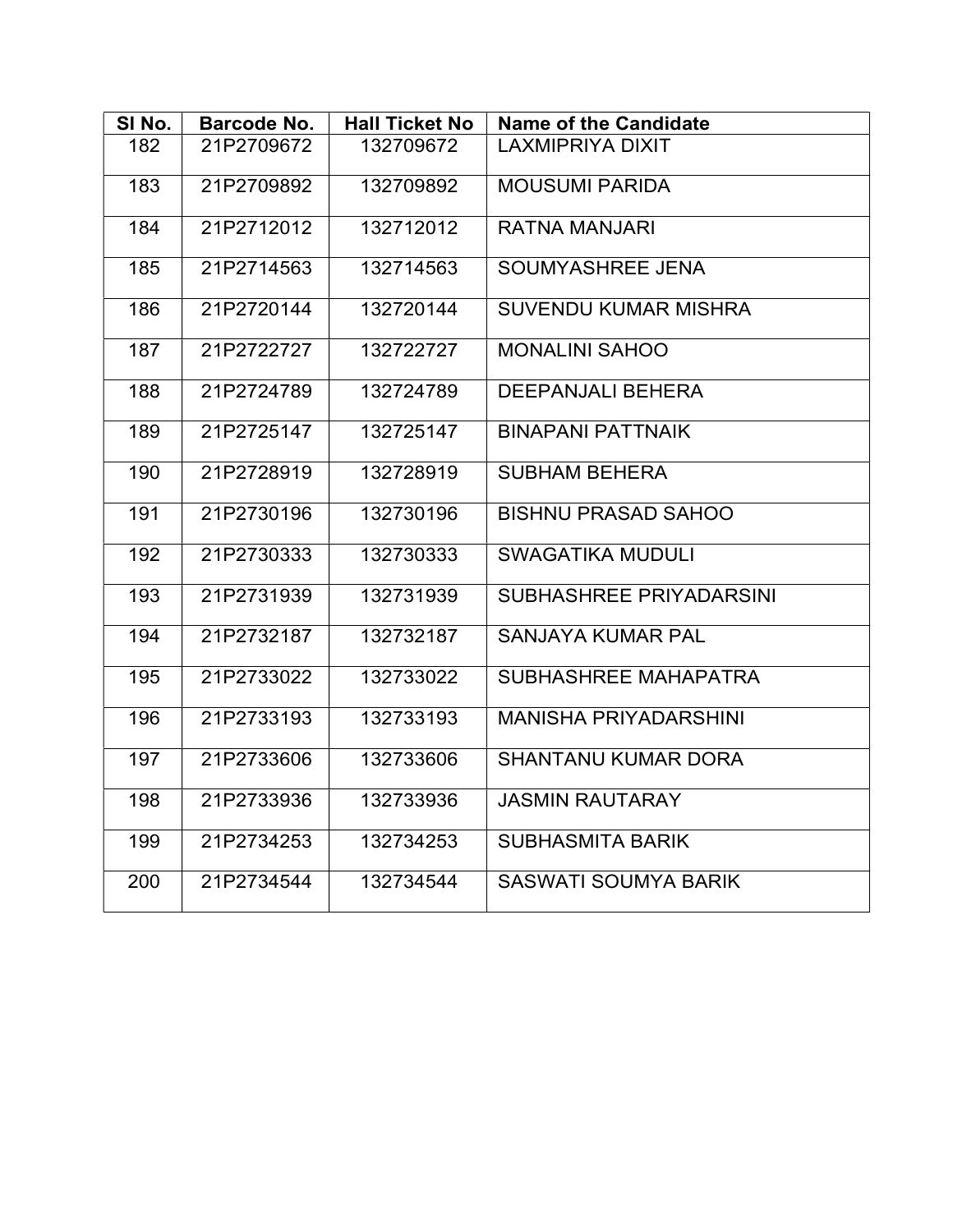| SI No. | Barcode No. | <b>Hall Ticket No</b> | <b>Name of the Candidate</b> |
|--------|-------------|-----------------------|------------------------------|
| 182    | 21P2709672  | 132709672             | <b>LAXMIPRIYA DIXIT</b>      |
| 183    | 21P2709892  | 132709892             | <b>MOUSUMI PARIDA</b>        |
| 184    | 21P2712012  | 132712012             | <b>RATNA MANJARI</b>         |
| 185    | 21P2714563  | 132714563             | SOUMYASHREE JENA             |
| 186    | 21P2720144  | 132720144             | <b>SUVENDU KUMAR MISHRA</b>  |
| 187    | 21P2722727  | 132722727             | <b>MONALINI SAHOO</b>        |
| 188    | 21P2724789  | 132724789             | <b>DEEPANJALI BEHERA</b>     |
| 189    | 21P2725147  | 132725147             | <b>BINAPANI PATTNAIK</b>     |
| 190    | 21P2728919  | 132728919             | <b>SUBHAM BEHERA</b>         |
| 191    | 21P2730196  | 132730196             | <b>BISHNU PRASAD SAHOO</b>   |
| 192    | 21P2730333  | 132730333             | <b>SWAGATIKA MUDULI</b>      |
| 193    | 21P2731939  | 132731939             | SUBHASHREE PRIYADARSINI      |
| 194    | 21P2732187  | 132732187             | <b>SANJAYA KUMAR PAL</b>     |
| 195    | 21P2733022  | 132733022             | SUBHASHREE MAHAPATRA         |
| 196    | 21P2733193  | 132733193             | <b>MANISHA PRIYADARSHINI</b> |
| 197    | 21P2733606  | 132733606             | <b>SHANTANU KUMAR DORA</b>   |
| 198    | 21P2733936  | 132733936             | <b>JASMIN RAUTARAY</b>       |
| 199    | 21P2734253  | 132734253             | <b>SUBHASMITA BARIK</b>      |
| 200    | 21P2734544  | 132734544             | <b>SASWATI SOUMYA BARIK</b>  |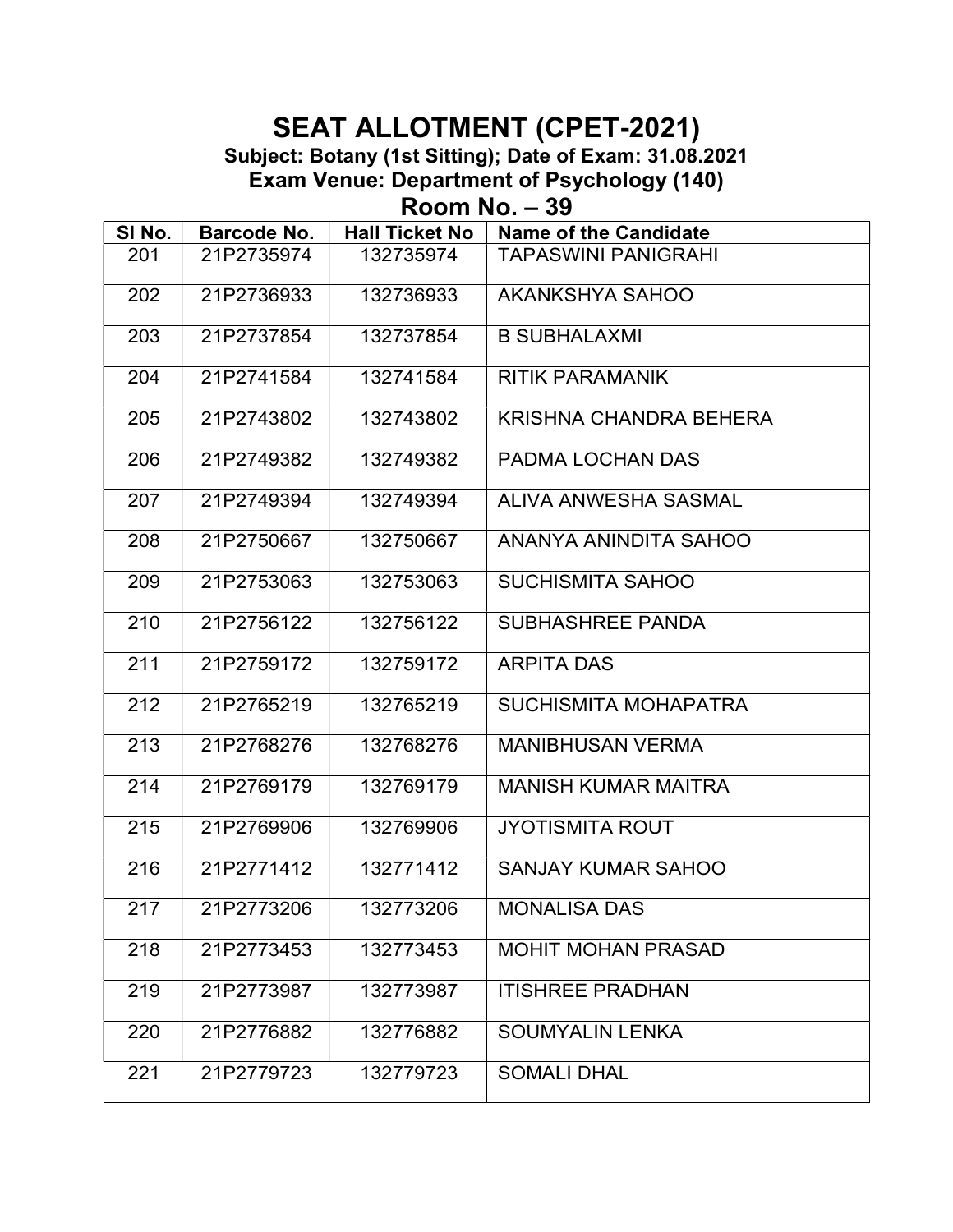Subject: Botany (1st Sitting); Date of Exam: 31.08.2021

Exam Venue: Department of Psychology (140)

Room No. – 39

| SI No. | <b>Barcode No.</b> | <b>Hall Ticket No</b> | <b>Name of the Candidate</b>  |  |
|--------|--------------------|-----------------------|-------------------------------|--|
| 201    | 21P2735974         | 132735974             | <b>TAPASWINI PANIGRAHI</b>    |  |
| 202    | 21P2736933         | 132736933             | AKANKSHYA SAHOO               |  |
| 203    | 21P2737854         | 132737854             | <b>B SUBHALAXMI</b>           |  |
| 204    | 21P2741584         | 132741584             | <b>RITIK PARAMANIK</b>        |  |
| 205    | 21P2743802         | 132743802             | <b>KRISHNA CHANDRA BEHERA</b> |  |
| 206    | 21P2749382         | 132749382             | PADMA LOCHAN DAS              |  |
| 207    | 21P2749394         | 132749394             | ALIVA ANWESHA SASMAL          |  |
| 208    | 21P2750667         | 132750667             | ANANYA ANINDITA SAHOO         |  |
| 209    | 21P2753063         | 132753063             | <b>SUCHISMITA SAHOO</b>       |  |
| 210    | 21P2756122         | 132756122             | <b>SUBHASHREE PANDA</b>       |  |
| 211    | 21P2759172         | 132759172             | <b>ARPITA DAS</b>             |  |
| 212    | 21P2765219         | 132765219             | <b>SUCHISMITA MOHAPATRA</b>   |  |
| 213    | 21P2768276         | 132768276             | <b>MANIBHUSAN VERMA</b>       |  |
| 214    | 21P2769179         | 132769179             | <b>MANISH KUMAR MAITRA</b>    |  |
| 215    | 21P2769906         | 132769906             | <b>JYOTISMITA ROUT</b>        |  |
| 216    | 21P2771412         | 132771412             | <b>SANJAY KUMAR SAHOO</b>     |  |
| 217    | 21P2773206         | 132773206             | <b>MONALISA DAS</b>           |  |
| 218    | 21P2773453         | 132773453             | <b>MOHIT MOHAN PRASAD</b>     |  |
| 219    | 21P2773987         | 132773987             | <b>ITISHREE PRADHAN</b>       |  |
| 220    | 21P2776882         | 132776882             | <b>SOUMYALIN LENKA</b>        |  |
| 221    | 21P2779723         | 132779723             | <b>SOMALI DHAL</b>            |  |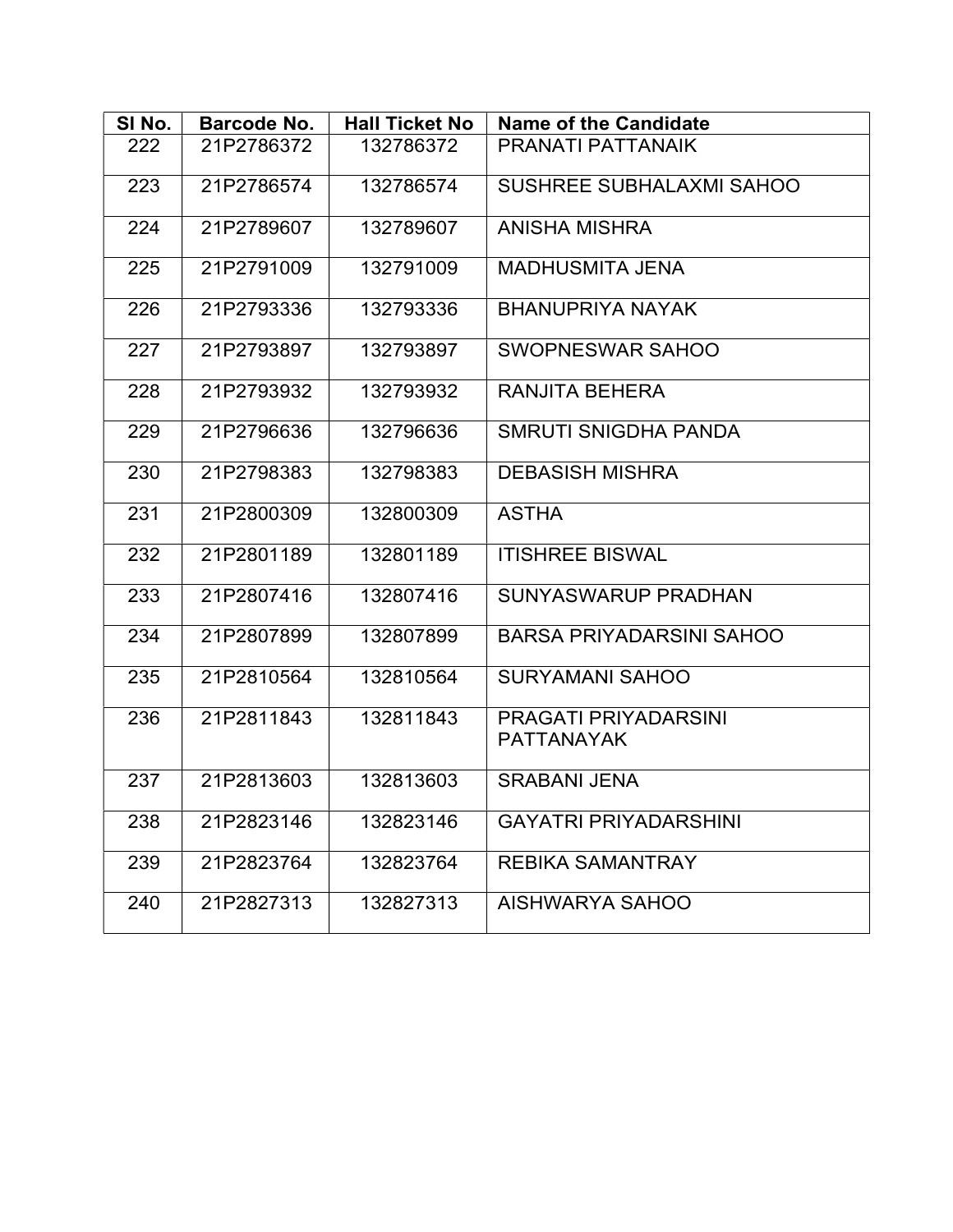| SI No. | <b>Barcode No.</b> | <b>Hall Ticket No</b> | <b>Name of the Candidate</b>              |
|--------|--------------------|-----------------------|-------------------------------------------|
| 222    | 21P2786372         | 132786372             | PRANATI PATTANAIK                         |
| 223    | 21P2786574         | 132786574             | <b>SUSHREE SUBHALAXMI SAHOO</b>           |
| 224    | 21P2789607         | 132789607             | <b>ANISHA MISHRA</b>                      |
| 225    | 21P2791009         | 132791009             | <b>MADHUSMITA JENA</b>                    |
| 226    | 21P2793336         | 132793336             | <b>BHANUPRIYA NAYAK</b>                   |
| 227    | 21P2793897         | 132793897             | SWOPNESWAR SAHOO                          |
| 228    | 21P2793932         | 132793932             | <b>RANJITA BEHERA</b>                     |
| 229    | 21P2796636         | 132796636             | <b>SMRUTI SNIGDHA PANDA</b>               |
| 230    | 21P2798383         | 132798383             | <b>DEBASISH MISHRA</b>                    |
| 231    | 21P2800309         | 132800309             | <b>ASTHA</b>                              |
| 232    | 21P2801189         | 132801189             | <b>ITISHREE BISWAL</b>                    |
| 233    | 21P2807416         | 132807416             | <b>SUNYASWARUP PRADHAN</b>                |
| 234    | 21P2807899         | 132807899             | <b>BARSA PRIYADARSINI SAHOO</b>           |
| 235    | 21P2810564         | 132810564             | <b>SURYAMANI SAHOO</b>                    |
| 236    | 21P2811843         | 132811843             | PRAGATI PRIYADARSINI<br><b>PATTANAYAK</b> |
| 237    | 21P2813603         | 132813603             | <b>SRABANI JENA</b>                       |
| 238    | 21P2823146         | 132823146             | <b>GAYATRI PRIYADARSHINI</b>              |
| 239    | 21P2823764         | 132823764             | <b>REBIKA SAMANTRAY</b>                   |
| 240    | 21P2827313         | 132827313             | AISHWARYA SAHOO                           |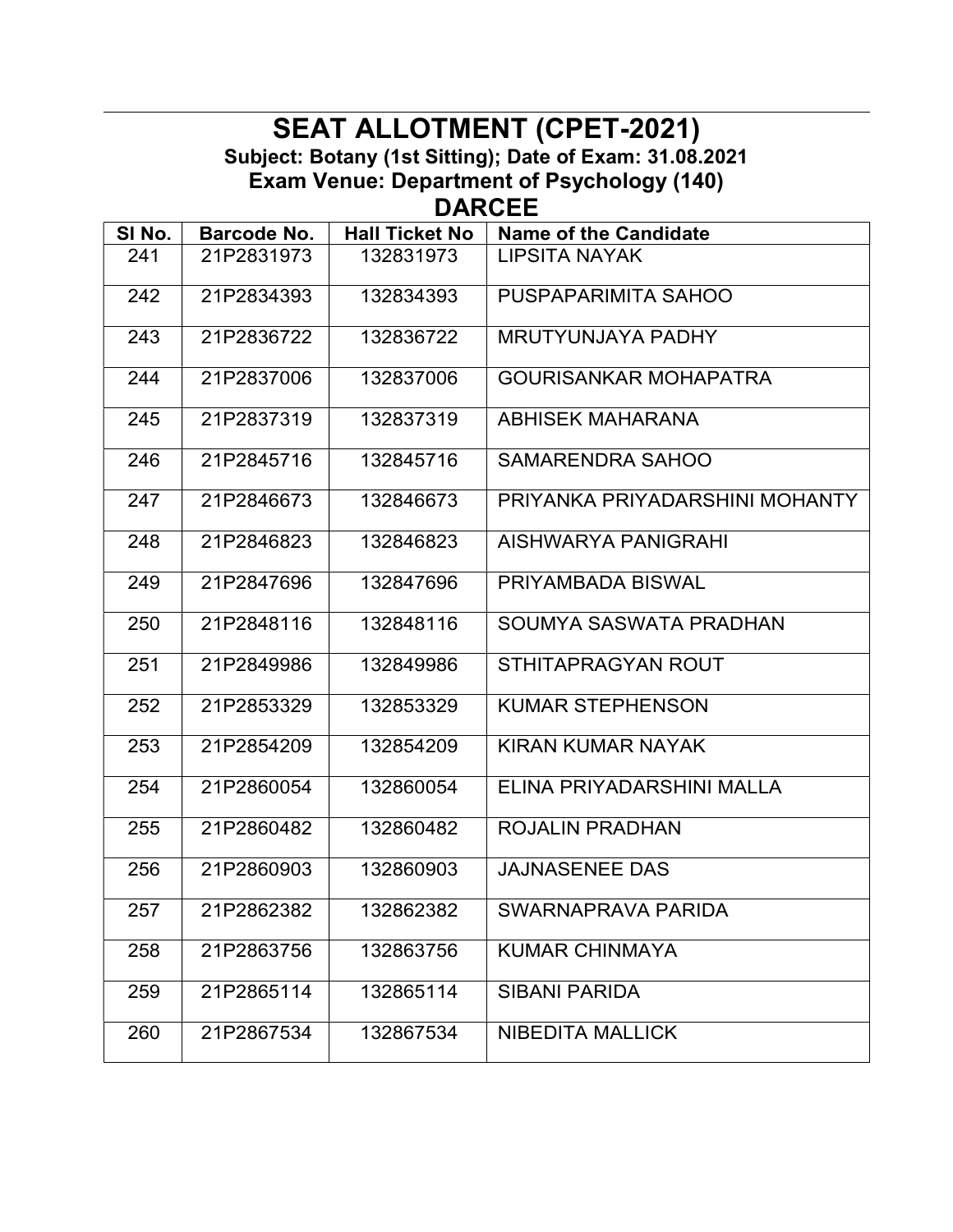#### SEAT ALLOTMENT (CPET-2021) Subject: Botany (1st Sitting); Date of Exam: 31.08.2021 Exam Venue: Department of Psychology (140) DARCEE

| SI No. | Barcode No. | <b>Hall Ticket No</b> | <b>Name of the Candidate</b>   |
|--------|-------------|-----------------------|--------------------------------|
| 241    | 21P2831973  | 132831973             | LIPSITA NAYAK                  |
| 242    | 21P2834393  | 132834393             | PUSPAPARIMITA SAHOO            |
| 243    | 21P2836722  | 132836722             | MRUTYUNJAYA PADHY              |
| 244    | 21P2837006  | 132837006             | <b>GOURISANKAR MOHAPATRA</b>   |
| 245    | 21P2837319  | 132837319             | <b>ABHISEK MAHARANA</b>        |
| 246    | 21P2845716  | 132845716             | <b>SAMARENDRA SAHOO</b>        |
| 247    | 21P2846673  | 132846673             | PRIYANKA PRIYADARSHINI MOHANTY |
| 248    | 21P2846823  | 132846823             | AISHWARYA PANIGRAHI            |
| 249    | 21P2847696  | 132847696             | PRIYAMBADA BISWAL              |
| 250    | 21P2848116  | 132848116             | SOUMYA SASWATA PRADHAN         |
| 251    | 21P2849986  | 132849986             | STHITAPRAGYAN ROUT             |
| 252    | 21P2853329  | 132853329             | <b>KUMAR STEPHENSON</b>        |
| 253    | 21P2854209  | 132854209             | KIRAN KUMAR NAYAK              |
| 254    | 21P2860054  | 132860054             | ELINA PRIYADARSHINI MALLA      |
| 255    | 21P2860482  | 132860482             | <b>ROJALIN PRADHAN</b>         |
| 256    | 21P2860903  | 132860903             | <b>JAJNASENEE DAS</b>          |
| 257    | 21P2862382  | 132862382             | SWARNAPRAVA PARIDA             |
| 258    | 21P2863756  | 132863756             | <b>KUMAR CHINMAYA</b>          |
| 259    | 21P2865114  | 132865114             | <b>SIBANI PARIDA</b>           |
| 260    | 21P2867534  | 132867534             | <b>NIBEDITA MALLICK</b>        |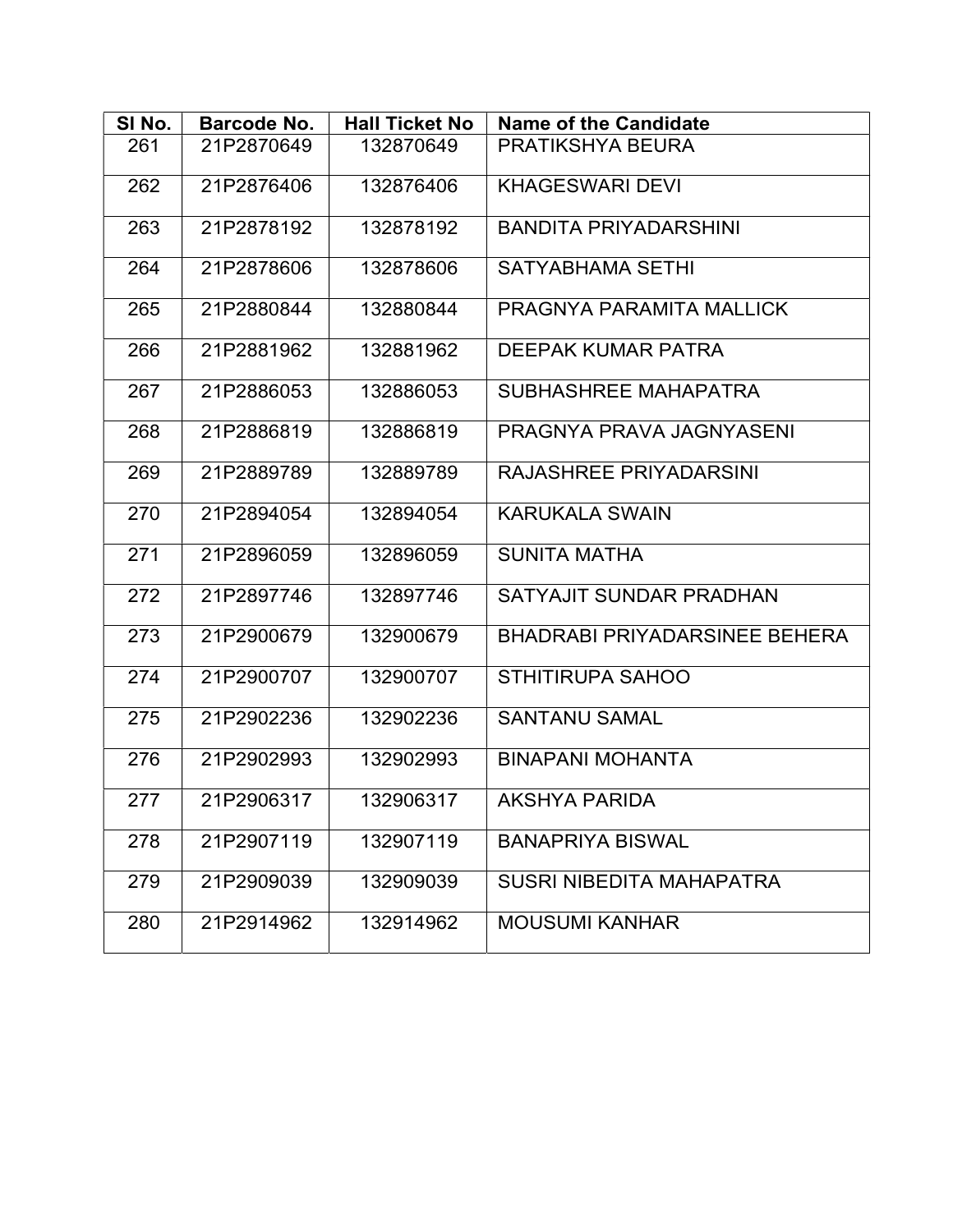| SINo. | Barcode No. | <b>Hall Ticket No</b> | <b>Name of the Candidate</b>    |
|-------|-------------|-----------------------|---------------------------------|
| 261   | 21P2870649  | 132870649             | PRATIKSHYA BEURA                |
| 262   | 21P2876406  | 132876406             | <b>KHAGESWARI DEVI</b>          |
| 263   | 21P2878192  | 132878192             | <b>BANDITA PRIYADARSHINI</b>    |
| 264   | 21P2878606  | 132878606             | <b>SATYABHAMA SETHI</b>         |
| 265   | 21P2880844  | 132880844             | PRAGNYA PARAMITA MALLICK        |
| 266   | 21P2881962  | 132881962             | <b>DEEPAK KUMAR PATRA</b>       |
| 267   | 21P2886053  | 132886053             | SUBHASHREE MAHAPATRA            |
| 268   | 21P2886819  | 132886819             | PRAGNYA PRAVA JAGNYASENI        |
| 269   | 21P2889789  | 132889789             | <b>RAJASHREE PRIYADARSINI</b>   |
| 270   | 21P2894054  | 132894054             | <b>KARUKALA SWAIN</b>           |
| 271   | 21P2896059  | 132896059             | <b>SUNITA MATHA</b>             |
| 272   | 21P2897746  | 132897746             | SATYAJIT SUNDAR PRADHAN         |
| 273   | 21P2900679  | 132900679             | BHADRABI PRIYADARSINEE BEHERA   |
| 274   | 21P2900707  | 132900707             | <b>STHITIRUPA SAHOO</b>         |
| 275   | 21P2902236  | 132902236             | <b>SANTANU SAMAL</b>            |
| 276   | 21P2902993  | 132902993             | <b>BINAPANI MOHANTA</b>         |
| 277   | 21P2906317  | 132906317             | AKSHYA PARIDA                   |
| 278   | 21P2907119  | 132907119             | <b>BANAPRIYA BISWAL</b>         |
| 279   | 21P2909039  | 132909039             | <b>SUSRI NIBEDITA MAHAPATRA</b> |
| 280   | 21P2914962  | 132914962             | <b>MOUSUMI KANHAR</b>           |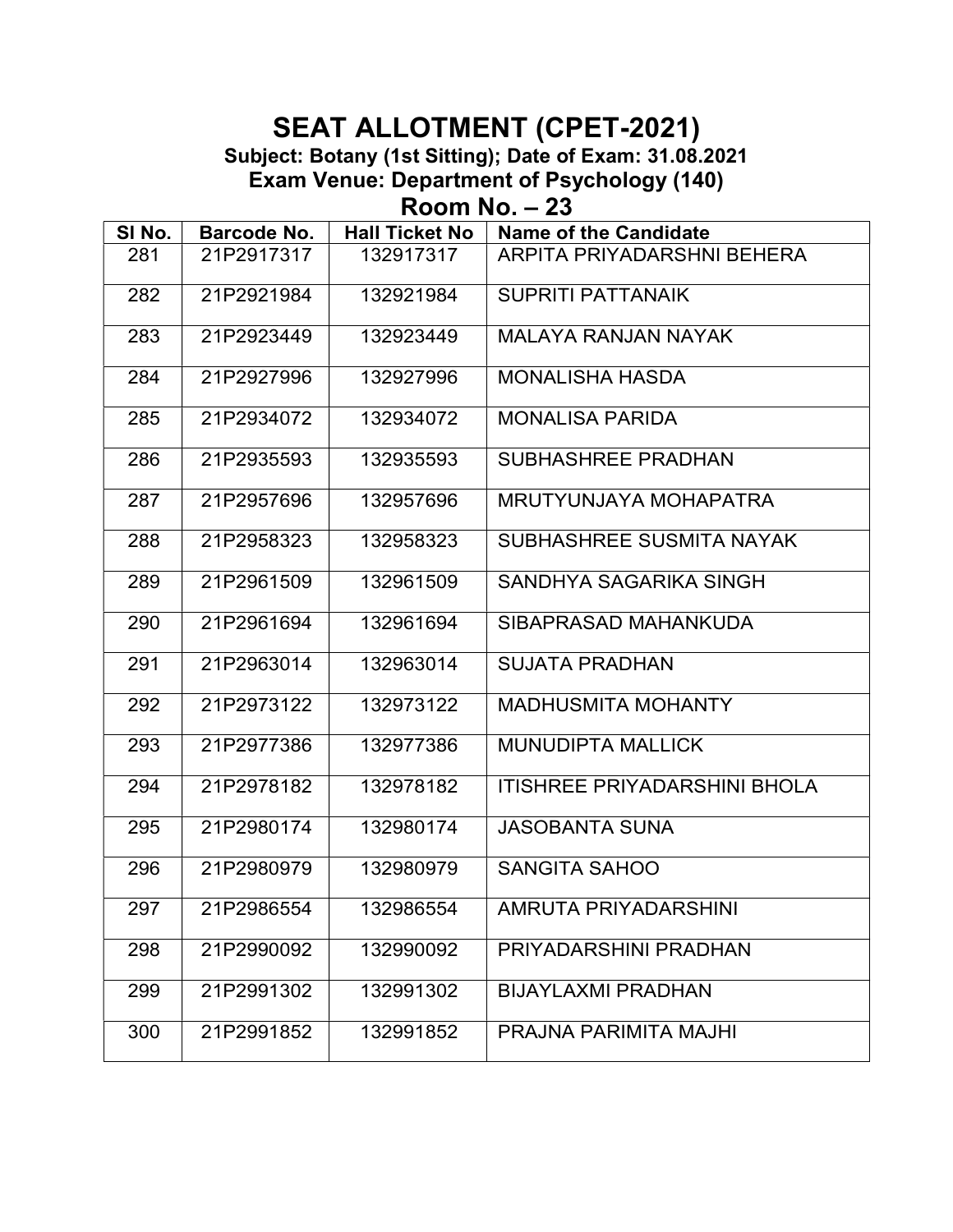Subject: Botany (1st Sitting); Date of Exam: 31.08.2021

Exam Venue: Department of Psychology (140)

Room No. – 23

| SI No. | <b>Barcode No.</b> | <b>Hall Ticket No</b> | <b>Name of the Candidate</b>        |
|--------|--------------------|-----------------------|-------------------------------------|
| 281    | 21P2917317         | 132917317             | ARPITA PRIYADARSHNI BEHERA          |
| 282    | 21P2921984         | 132921984             | <b>SUPRITI PATTANAIK</b>            |
| 283    | 21P2923449         | 132923449             | <b>MALAYA RANJAN NAYAK</b>          |
| 284    | 21P2927996         | 132927996             | <b>MONALISHA HASDA</b>              |
| 285    | 21P2934072         | 132934072             | <b>MONALISA PARIDA</b>              |
| 286    | 21P2935593         | 132935593             | <b>SUBHASHREE PRADHAN</b>           |
| 287    | 21P2957696         | 132957696             | MRUTYUNJAYA MOHAPATRA               |
| 288    | 21P2958323         | 132958323             | SUBHASHREE SUSMITA NAYAK            |
| 289    | 21P2961509         | 132961509             | SANDHYA SAGARIKA SINGH              |
| 290    | 21P2961694         | 132961694             | SIBAPRASAD MAHANKUDA                |
| 291    | 21P2963014         | 132963014             | <b>SUJATA PRADHAN</b>               |
| 292    | 21P2973122         | 132973122             | <b>MADHUSMITA MOHANTY</b>           |
| 293    | 21P2977386         | 132977386             | <b>MUNUDIPTA MALLICK</b>            |
| 294    | 21P2978182         | 132978182             | <b>ITISHREE PRIYADARSHINI BHOLA</b> |
| 295    | 21P2980174         | 132980174             | <b>JASOBANTA SUNA</b>               |
| 296    | 21P2980979         | 132980979             | <b>SANGITA SAHOO</b>                |
| 297    | 21P2986554         | 132986554             | AMRUTA PRIYADARSHINI                |
| 298    | 21P2990092         | 132990092             | PRIYADARSHINI PRADHAN               |
| 299    | 21P2991302         | 132991302             | <b>BIJAYLAXMI PRADHAN</b>           |
| 300    | 21P2991852         | 132991852             | PRAJNA PARIMITA MAJHI               |
|        |                    |                       |                                     |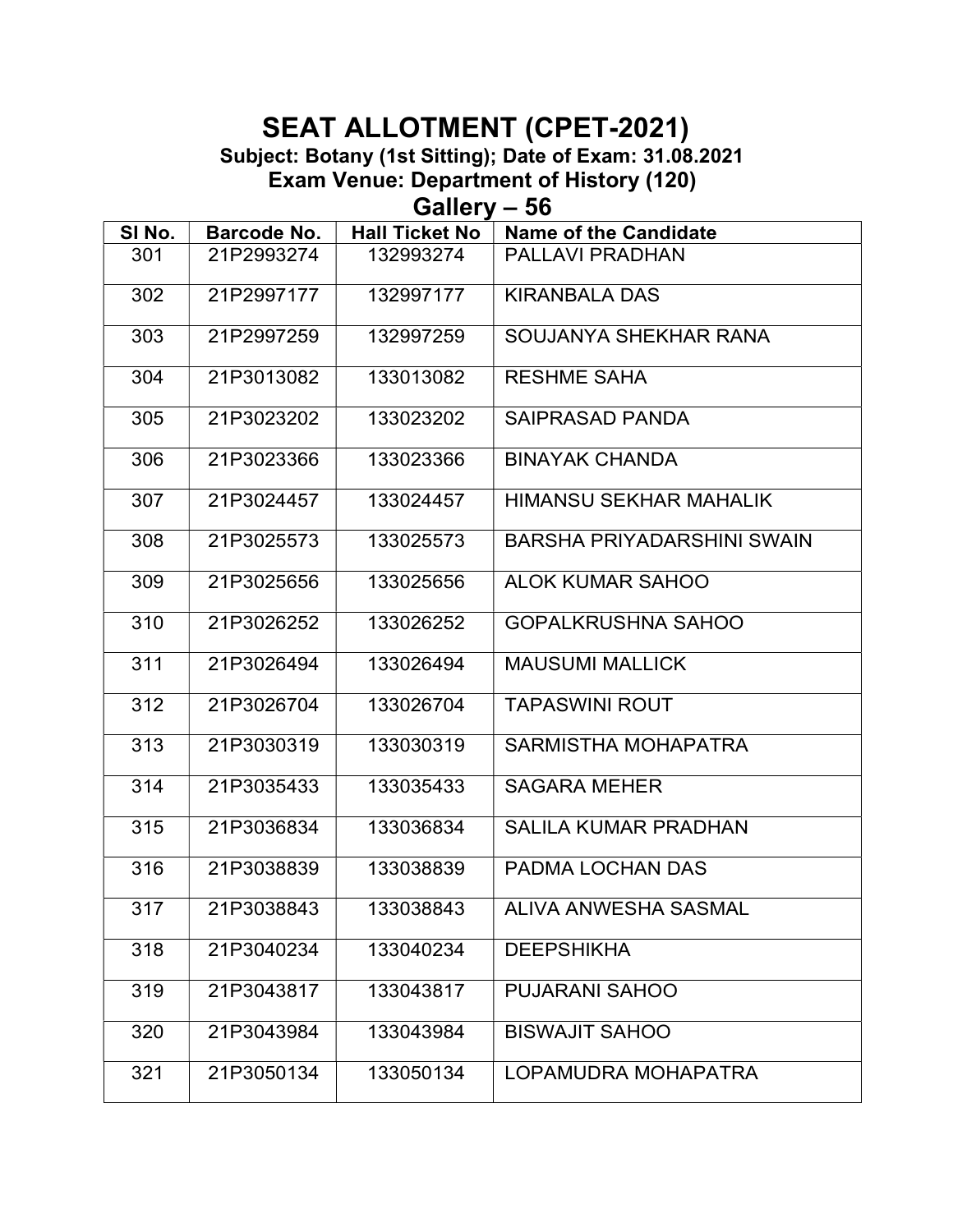Subject: Botany (1st Sitting); Date of Exam: 31.08.2021

Exam Venue: Department of History (120)

Gallery – 56

| 301<br>21P2993274<br>132993274<br>PALLAVI PRADHAN<br>132997177<br>302<br>21P2997177<br><b>KIRANBALA DAS</b><br>303<br>SOUJANYA SHEKHAR RANA<br>21P2997259<br>132997259<br>304<br>21P3013082<br>133013082<br><b>RESHME SAHA</b><br>305<br>21P3023202<br>133023202<br><b>SAIPRASAD PANDA</b><br>306<br>21P3023366<br>133023366<br><b>BINAYAK CHANDA</b><br>307<br>21P3024457<br>133024457<br><b>HIMANSU SEKHAR MAHALIK</b><br>308<br>21P3025573<br>133025573<br><b>BARSHA PRIYADARSHINI SWAIN</b><br>309<br>21P3025656<br>133025656<br><b>ALOK KUMAR SAHOO</b><br>310<br>21P3026252<br>133026252<br><b>GOPALKRUSHNA SAHOO</b><br><b>MAUSUMI MALLICK</b><br>311<br>21P3026494<br>133026494<br>312<br>21P3026704<br>133026704<br><b>TAPASWINI ROUT</b><br>313<br>21P3030319<br>133030319<br><b>SARMISTHA MOHAPATRA</b><br>314<br>21P3035433<br>133035433<br><b>SAGARA MEHER</b><br>315<br>21P3036834<br>133036834<br><b>SALILA KUMAR PRADHAN</b><br>316<br>21P3038839<br>133038839<br>PADMA LOCHAN DAS<br>317<br>21P3038843<br>133038843<br>ALIVA ANWESHA SASMAL<br>318<br>21P3040234<br>133040234<br><b>DEEPSHIKHA</b><br>319<br>PUJARANI SAHOO<br>21P3043817<br>133043817<br><b>BISWAJIT SAHOO</b><br>320<br>21P3043984<br>133043984<br>321<br>21P3050134<br>133050134<br>LOPAMUDRA MOHAPATRA | SI No. | <b>Barcode No.</b> | <b>Hall Ticket No</b> | <b>Name of the Candidate</b> |
|---------------------------------------------------------------------------------------------------------------------------------------------------------------------------------------------------------------------------------------------------------------------------------------------------------------------------------------------------------------------------------------------------------------------------------------------------------------------------------------------------------------------------------------------------------------------------------------------------------------------------------------------------------------------------------------------------------------------------------------------------------------------------------------------------------------------------------------------------------------------------------------------------------------------------------------------------------------------------------------------------------------------------------------------------------------------------------------------------------------------------------------------------------------------------------------------------------------------------------------------------------------------------------------------|--------|--------------------|-----------------------|------------------------------|
|                                                                                                                                                                                                                                                                                                                                                                                                                                                                                                                                                                                                                                                                                                                                                                                                                                                                                                                                                                                                                                                                                                                                                                                                                                                                                             |        |                    |                       |                              |
|                                                                                                                                                                                                                                                                                                                                                                                                                                                                                                                                                                                                                                                                                                                                                                                                                                                                                                                                                                                                                                                                                                                                                                                                                                                                                             |        |                    |                       |                              |
|                                                                                                                                                                                                                                                                                                                                                                                                                                                                                                                                                                                                                                                                                                                                                                                                                                                                                                                                                                                                                                                                                                                                                                                                                                                                                             |        |                    |                       |                              |
|                                                                                                                                                                                                                                                                                                                                                                                                                                                                                                                                                                                                                                                                                                                                                                                                                                                                                                                                                                                                                                                                                                                                                                                                                                                                                             |        |                    |                       |                              |
|                                                                                                                                                                                                                                                                                                                                                                                                                                                                                                                                                                                                                                                                                                                                                                                                                                                                                                                                                                                                                                                                                                                                                                                                                                                                                             |        |                    |                       |                              |
|                                                                                                                                                                                                                                                                                                                                                                                                                                                                                                                                                                                                                                                                                                                                                                                                                                                                                                                                                                                                                                                                                                                                                                                                                                                                                             |        |                    |                       |                              |
|                                                                                                                                                                                                                                                                                                                                                                                                                                                                                                                                                                                                                                                                                                                                                                                                                                                                                                                                                                                                                                                                                                                                                                                                                                                                                             |        |                    |                       |                              |
|                                                                                                                                                                                                                                                                                                                                                                                                                                                                                                                                                                                                                                                                                                                                                                                                                                                                                                                                                                                                                                                                                                                                                                                                                                                                                             |        |                    |                       |                              |
|                                                                                                                                                                                                                                                                                                                                                                                                                                                                                                                                                                                                                                                                                                                                                                                                                                                                                                                                                                                                                                                                                                                                                                                                                                                                                             |        |                    |                       |                              |
|                                                                                                                                                                                                                                                                                                                                                                                                                                                                                                                                                                                                                                                                                                                                                                                                                                                                                                                                                                                                                                                                                                                                                                                                                                                                                             |        |                    |                       |                              |
|                                                                                                                                                                                                                                                                                                                                                                                                                                                                                                                                                                                                                                                                                                                                                                                                                                                                                                                                                                                                                                                                                                                                                                                                                                                                                             |        |                    |                       |                              |
|                                                                                                                                                                                                                                                                                                                                                                                                                                                                                                                                                                                                                                                                                                                                                                                                                                                                                                                                                                                                                                                                                                                                                                                                                                                                                             |        |                    |                       |                              |
|                                                                                                                                                                                                                                                                                                                                                                                                                                                                                                                                                                                                                                                                                                                                                                                                                                                                                                                                                                                                                                                                                                                                                                                                                                                                                             |        |                    |                       |                              |
|                                                                                                                                                                                                                                                                                                                                                                                                                                                                                                                                                                                                                                                                                                                                                                                                                                                                                                                                                                                                                                                                                                                                                                                                                                                                                             |        |                    |                       |                              |
|                                                                                                                                                                                                                                                                                                                                                                                                                                                                                                                                                                                                                                                                                                                                                                                                                                                                                                                                                                                                                                                                                                                                                                                                                                                                                             |        |                    |                       |                              |
|                                                                                                                                                                                                                                                                                                                                                                                                                                                                                                                                                                                                                                                                                                                                                                                                                                                                                                                                                                                                                                                                                                                                                                                                                                                                                             |        |                    |                       |                              |
|                                                                                                                                                                                                                                                                                                                                                                                                                                                                                                                                                                                                                                                                                                                                                                                                                                                                                                                                                                                                                                                                                                                                                                                                                                                                                             |        |                    |                       |                              |
|                                                                                                                                                                                                                                                                                                                                                                                                                                                                                                                                                                                                                                                                                                                                                                                                                                                                                                                                                                                                                                                                                                                                                                                                                                                                                             |        |                    |                       |                              |
|                                                                                                                                                                                                                                                                                                                                                                                                                                                                                                                                                                                                                                                                                                                                                                                                                                                                                                                                                                                                                                                                                                                                                                                                                                                                                             |        |                    |                       |                              |
|                                                                                                                                                                                                                                                                                                                                                                                                                                                                                                                                                                                                                                                                                                                                                                                                                                                                                                                                                                                                                                                                                                                                                                                                                                                                                             |        |                    |                       |                              |
|                                                                                                                                                                                                                                                                                                                                                                                                                                                                                                                                                                                                                                                                                                                                                                                                                                                                                                                                                                                                                                                                                                                                                                                                                                                                                             |        |                    |                       |                              |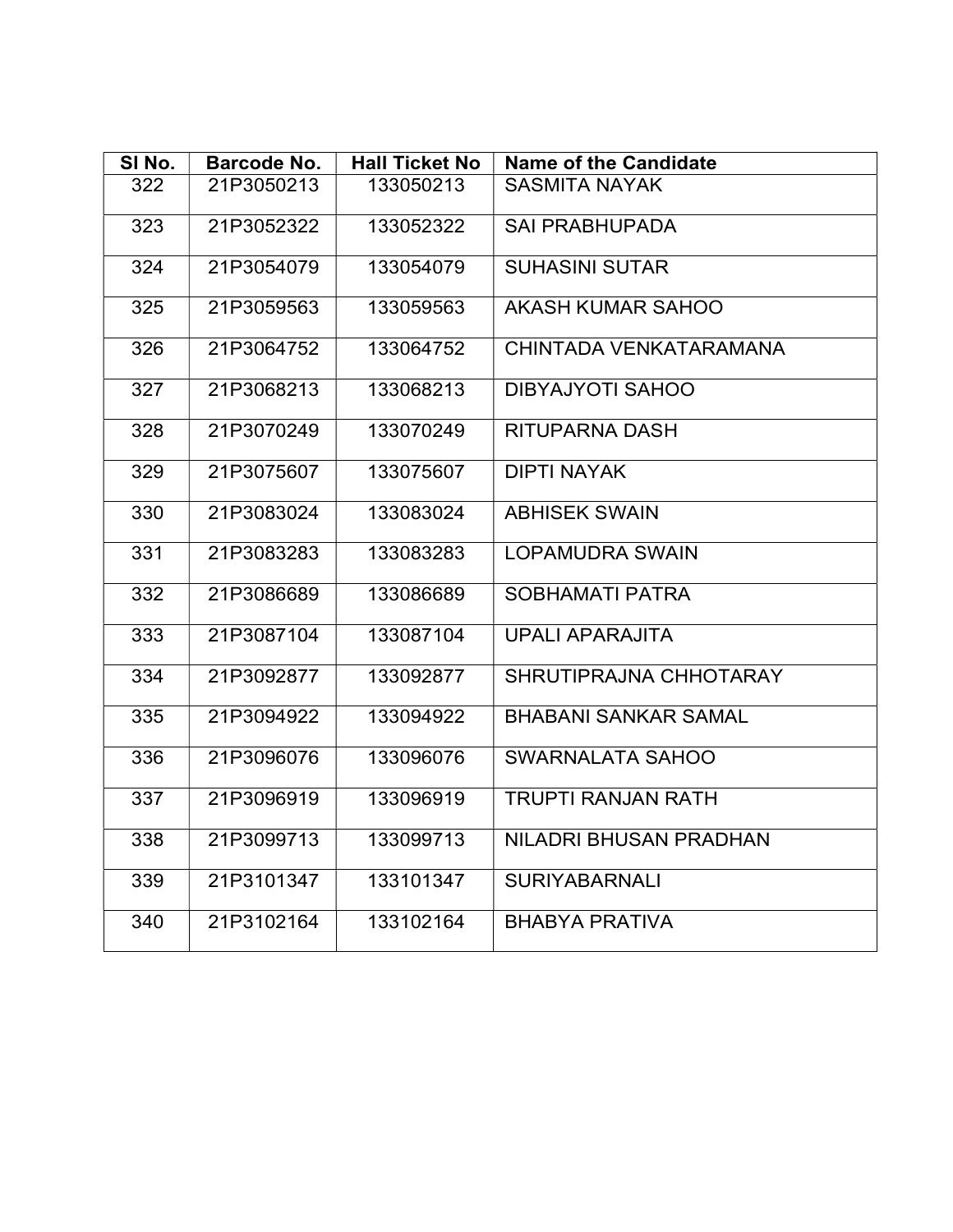| SI No. | <b>Barcode No.</b> | <b>Hall Ticket No</b> | <b>Name of the Candidate</b> |
|--------|--------------------|-----------------------|------------------------------|
| 322    | 21P3050213         | 133050213             | <b>SASMITA NAYAK</b>         |
| 323    | 21P3052322         | 133052322             | <b>SAI PRABHUPADA</b>        |
| 324    | 21P3054079         | 133054079             | <b>SUHASINI SUTAR</b>        |
| 325    | 21P3059563         | 133059563             | AKASH KUMAR SAHOO            |
| 326    | 21P3064752         | 133064752             | CHINTADA VENKATARAMANA       |
| 327    | 21P3068213         | 133068213             | <b>DIBYAJYOTI SAHOO</b>      |
| 328    | 21P3070249         | 133070249             | <b>RITUPARNA DASH</b>        |
| 329    | 21P3075607         | 133075607             | <b>DIPTI NAYAK</b>           |
| 330    | 21P3083024         | 133083024             | <b>ABHISEK SWAIN</b>         |
| 331    | 21P3083283         | 133083283             | <b>LOPAMUDRA SWAIN</b>       |
| 332    | 21P3086689         | 133086689             | <b>SOBHAMATI PATRA</b>       |
| 333    | 21P3087104         | 133087104             | <b>UPALI APARAJITA</b>       |
| 334    | 21P3092877         | 133092877             | SHRUTIPRAJNA CHHOTARAY       |
| 335    | 21P3094922         | 133094922             | <b>BHABANI SANKAR SAMAL</b>  |
| 336    | 21P3096076         | 133096076             | SWARNALATA SAHOO             |
| 337    | 21P3096919         | 133096919             | <b>TRUPTI RANJAN RATH</b>    |
| 338    | 21P3099713         | 133099713             | NILADRI BHUSAN PRADHAN       |
| 339    | 21P3101347         | 133101347             | <b>SURIYABARNALI</b>         |
| 340    | 21P3102164         | 133102164             | <b>BHABYA PRATIVA</b>        |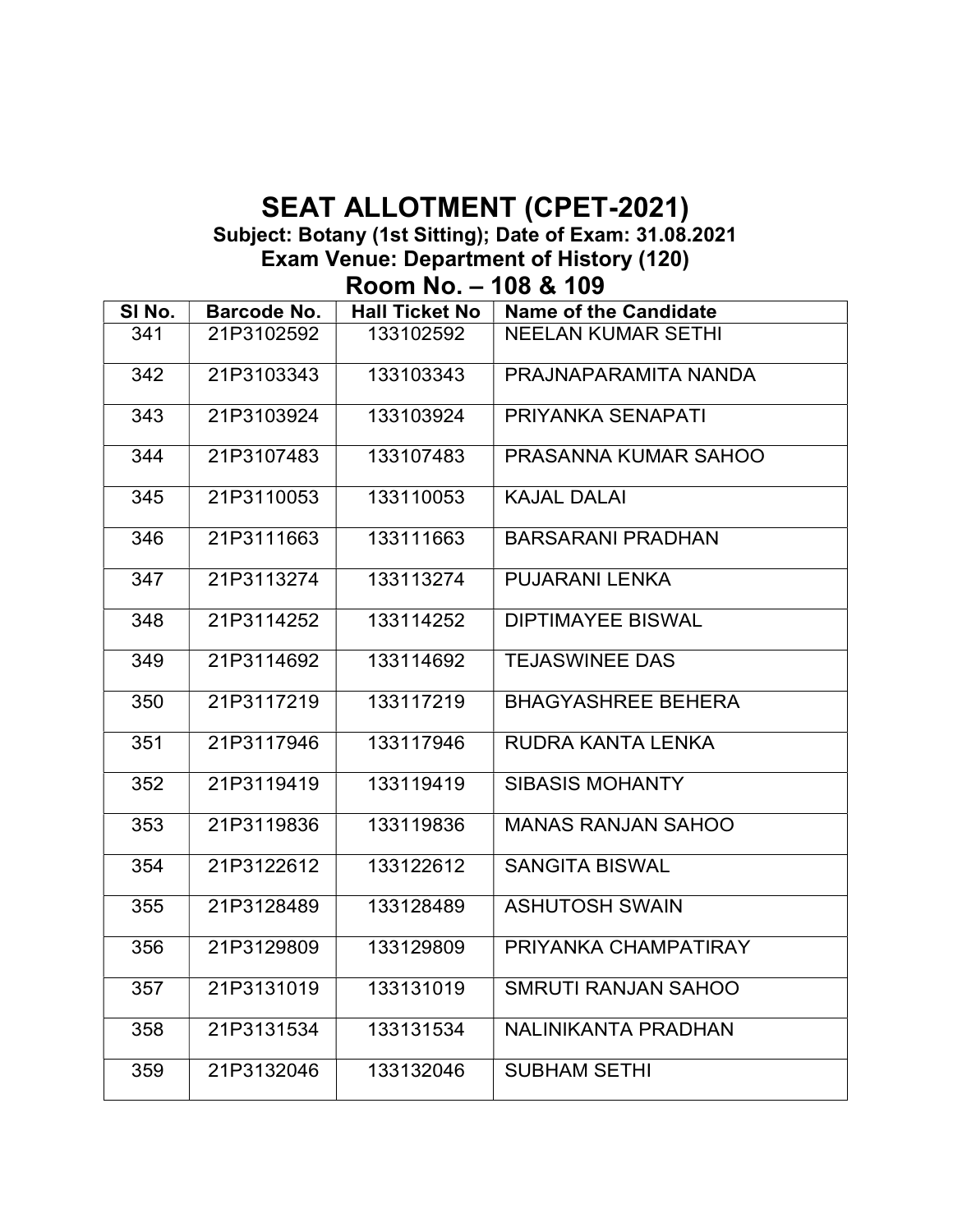#### SEAT ALLOTMENT (CPET-2021) Subject: Botany (1st Sitting); Date of Exam: 31.08.2021 Exam Venue: Department of History (120)

Room No. – 108 & 109

| SI No. | <b>Barcode No.</b> | <b>Hall Ticket No</b> | <b>Name of the Candidate</b> |
|--------|--------------------|-----------------------|------------------------------|
| 341    | 21P3102592         | 133102592             | <b>NEELAN KUMAR SETHI</b>    |
| 342    | 21P3103343         | 133103343             | PRAJNAPARAMITA NANDA         |
| 343    | 21P3103924         | 133103924             | PRIYANKA SENAPATI            |
| 344    | 21P3107483         | 133107483             | PRASANNA KUMAR SAHOO         |
| 345    | 21P3110053         | 133110053             | <b>KAJAL DALAI</b>           |
| 346    | 21P3111663         | 133111663             | <b>BARSARANI PRADHAN</b>     |
| 347    | 21P3113274         | 133113274             | <b>PUJARANI LENKA</b>        |
| 348    | 21P3114252         | 133114252             | <b>DIPTIMAYEE BISWAL</b>     |
| 349    | 21P3114692         | 133114692             | <b>TEJASWINEE DAS</b>        |
| 350    | 21P3117219         | 133117219             | <b>BHAGYASHREE BEHERA</b>    |
| 351    | 21P3117946         | 133117946             | RUDRA KANTA LENKA            |
| 352    | 21P3119419         | 133119419             | <b>SIBASIS MOHANTY</b>       |
| 353    | 21P3119836         | 133119836             | <b>MANAS RANJAN SAHOO</b>    |
| 354    | 21P3122612         | 133122612             | <b>SANGITA BISWAL</b>        |
| 355    | 21P3128489         | 133128489             | <b>ASHUTOSH SWAIN</b>        |
| 356    | 21P3129809         | 133129809             | PRIYANKA CHAMPATIRAY         |
| 357    | 21P3131019         | 133131019             | SMRUTI RANJAN SAHOO          |
| 358    | 21P3131534         | 133131534             | NALINIKANTA PRADHAN          |
| 359    | 21P3132046         | 133132046             | <b>SUBHAM SETHI</b>          |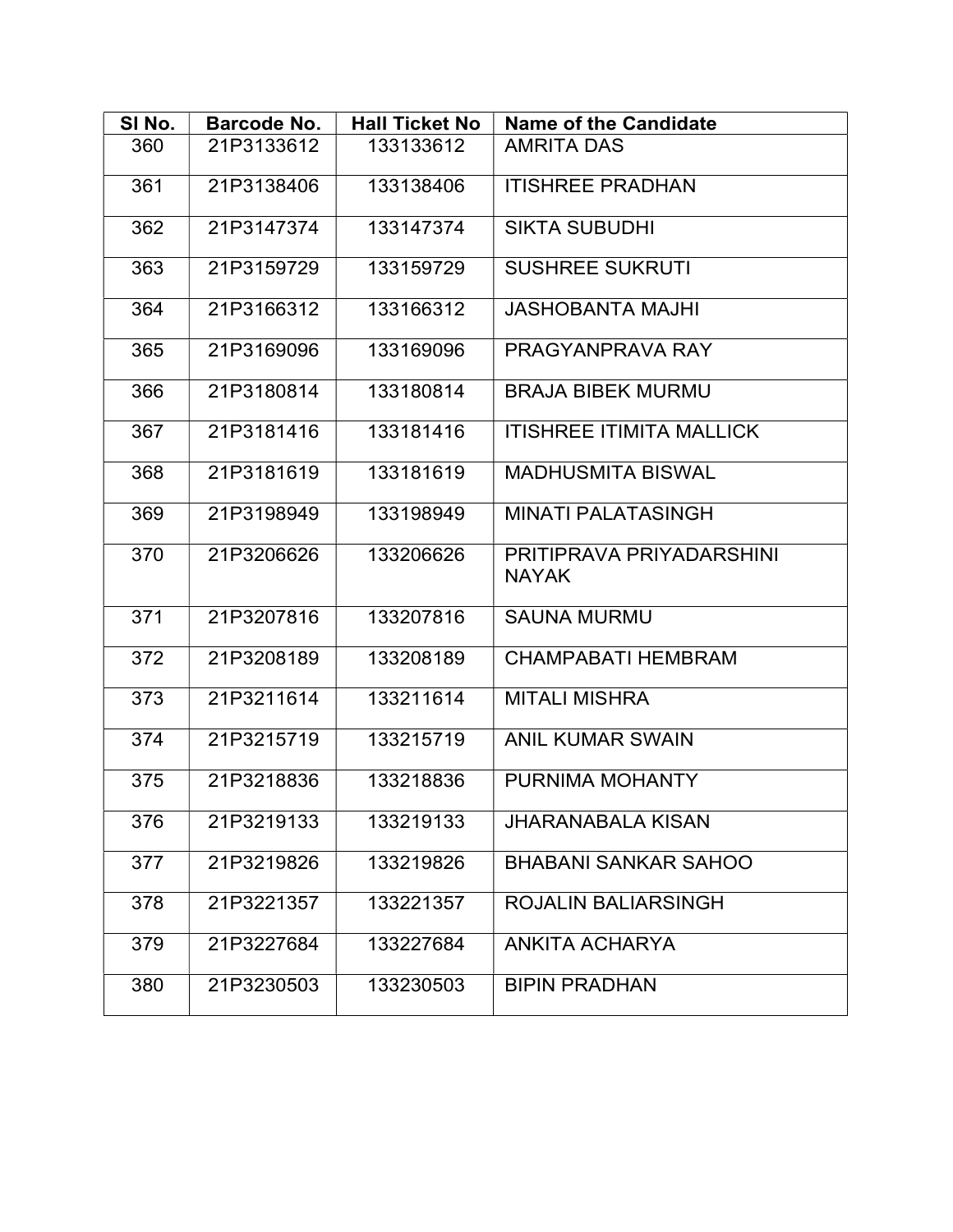| SI No. | Barcode No. | <b>Hall Ticket No</b> | <b>Name of the Candidate</b>             |
|--------|-------------|-----------------------|------------------------------------------|
| 360    | 21P3133612  | 133133612             | <b>AMRITA DAS</b>                        |
| 361    | 21P3138406  | 133138406             | <b>ITISHREE PRADHAN</b>                  |
| 362    | 21P3147374  | 133147374             | <b>SIKTA SUBUDHI</b>                     |
| 363    | 21P3159729  | 133159729             | <b>SUSHREE SUKRUTI</b>                   |
| 364    | 21P3166312  | 133166312             | <b>JASHOBANTA MAJHI</b>                  |
| 365    | 21P3169096  | 133169096             | PRAGYANPRAVA RAY                         |
| 366    | 21P3180814  | 133180814             | <b>BRAJA BIBEK MURMU</b>                 |
| 367    | 21P3181416  | 133181416             | <b>ITISHREE ITIMITA MALLICK</b>          |
| 368    | 21P3181619  | 133181619             | <b>MADHUSMITA BISWAL</b>                 |
| 369    | 21P3198949  | 133198949             | <b>MINATI PALATASINGH</b>                |
| 370    | 21P3206626  | 133206626             | PRITIPRAVA PRIYADARSHINI<br><b>NAYAK</b> |
| 371    | 21P3207816  | 133207816             | <b>SAUNA MURMU</b>                       |
| 372    | 21P3208189  | 133208189             | <b>CHAMPABATI HEMBRAM</b>                |
| 373    | 21P3211614  | 133211614             | <b>MITALI MISHRA</b>                     |
| 374    | 21P3215719  | 133215719             | <b>ANIL KUMAR SWAIN</b>                  |
| 375    | 21P3218836  | 133218836             | PURNIMA MOHANTY                          |
| 376    | 21P3219133  | 133219133             | <b>JHARANABALA KISAN</b>                 |
| 377    | 21P3219826  | 133219826             | <b>BHABANI SANKAR SAHOO</b>              |
| 378    | 21P3221357  | 133221357             | <b>ROJALIN BALIARSINGH</b>               |
| 379    | 21P3227684  | 133227684             | <b>ANKITA ACHARYA</b>                    |
| 380    | 21P3230503  | 133230503             | <b>BIPIN PRADHAN</b>                     |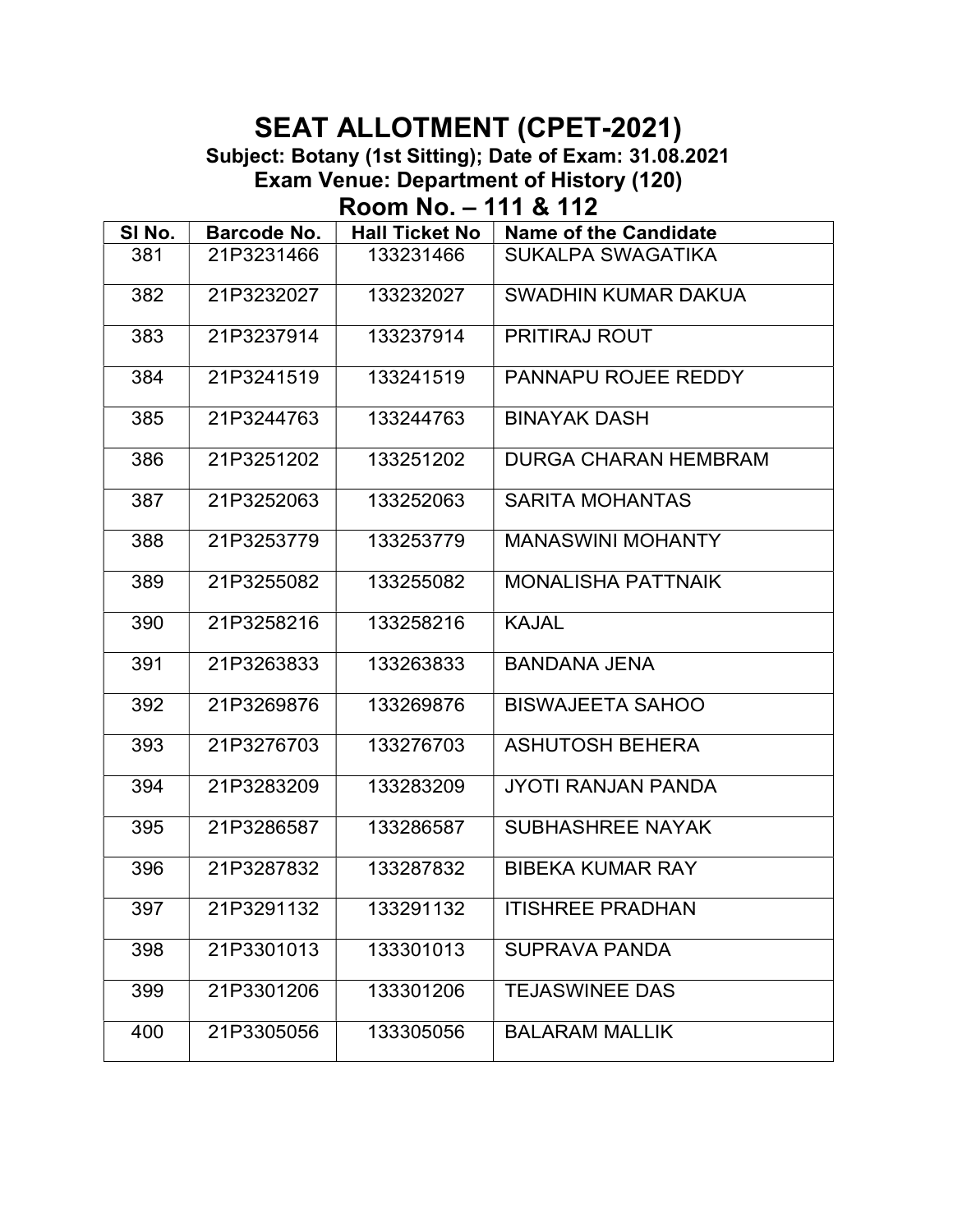Subject: Botany (1st Sitting); Date of Exam: 31.08.2021 Exam Venue: Department of History (120)

Room No. – 111 & 112

| SI No. | Barcode No. | <b>Hall Ticket No</b> | <b>Name of the Candidate</b> |
|--------|-------------|-----------------------|------------------------------|
| 381    | 21P3231466  | 133231466             | <b>SUKALPA SWAGATIKA</b>     |
| 382    | 21P3232027  | 133232027             | SWADHIN KUMAR DAKUA          |
| 383    | 21P3237914  | 133237914             | PRITIRAJ ROUT                |
| 384    | 21P3241519  | 133241519             | PANNAPU ROJEE REDDY          |
| 385    | 21P3244763  | 133244763             | <b>BINAYAK DASH</b>          |
| 386    | 21P3251202  | 133251202             | <b>DURGA CHARAN HEMBRAM</b>  |
| 387    | 21P3252063  | 133252063             | <b>SARITA MOHANTAS</b>       |
| 388    | 21P3253779  | 133253779             | <b>MANASWINI MOHANTY</b>     |
| 389    | 21P3255082  | 133255082             | <b>MONALISHA PATTNAIK</b>    |
| 390    | 21P3258216  | 133258216             | <b>KAJAL</b>                 |
| 391    | 21P3263833  | 133263833             | <b>BANDANA JENA</b>          |
| 392    | 21P3269876  | 133269876             | <b>BISWAJEETA SAHOO</b>      |
| 393    | 21P3276703  | 133276703             | <b>ASHUTOSH BEHERA</b>       |
| 394    | 21P3283209  | 133283209             | <b>JYOTI RANJAN PANDA</b>    |
| 395    | 21P3286587  | 133286587             | <b>SUBHASHREE NAYAK</b>      |
| 396    | 21P3287832  | 133287832             | <b>BIBEKA KUMAR RAY</b>      |
| 397    | 21P3291132  | 133291132             | <b>ITISHREE PRADHAN</b>      |
| 398    | 21P3301013  | 133301013             | <b>SUPRAVA PANDA</b>         |
| 399    | 21P3301206  | 133301206             | <b>TEJASWINEE DAS</b>        |
| 400    | 21P3305056  | 133305056             | <b>BALARAM MALLIK</b>        |
|        |             |                       |                              |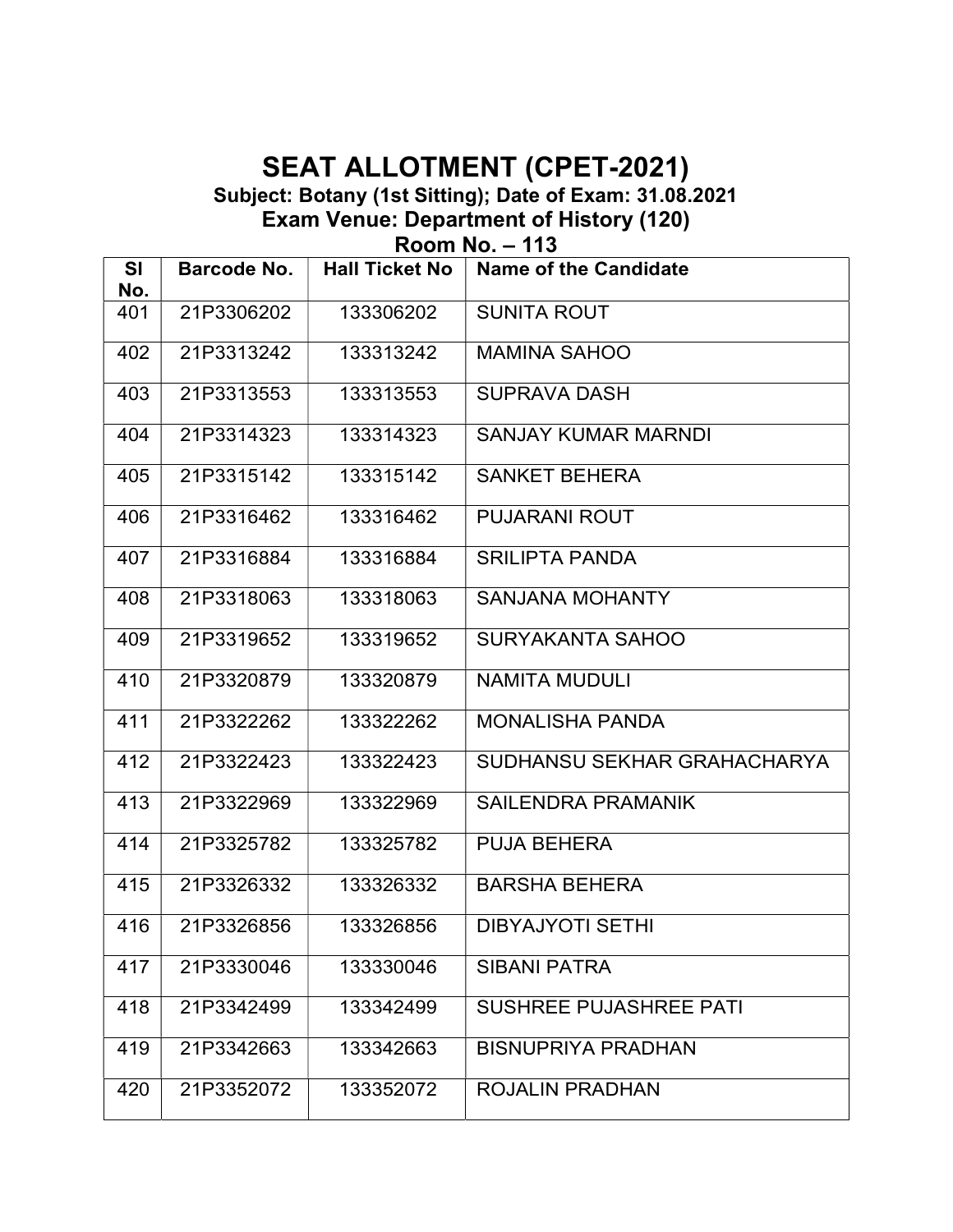Subject: Botany (1st Sitting); Date of Exam: 31.08.2021 Exam Venue: Department of History (120)

Room No. – 113

| <b>SI</b><br>No. | <b>Barcode No.</b> | <b>Hall Ticket No</b> | <b>Name of the Candidate</b>  |
|------------------|--------------------|-----------------------|-------------------------------|
| 401              | 21P3306202         | 133306202             | <b>SUNITA ROUT</b>            |
| 402              | 21P3313242         | 133313242             | <b>MAMINA SAHOO</b>           |
| 403              | 21P3313553         | 133313553             | <b>SUPRAVA DASH</b>           |
| 404              | 21P3314323         | 133314323             | <b>SANJAY KUMAR MARNDI</b>    |
| 405              | 21P3315142         | 133315142             | <b>SANKET BEHERA</b>          |
| 406              | 21P3316462         | 133316462             | <b>PUJARANI ROUT</b>          |
| 407              | 21P3316884         | 133316884             | <b>SRILIPTA PANDA</b>         |
| 408              | 21P3318063         | 133318063             | <b>SANJANA MOHANTY</b>        |
| 409              | 21P3319652         | 133319652             | <b>SURYAKANTA SAHOO</b>       |
| 410              | 21P3320879         | 133320879             | <b>NAMITA MUDULI</b>          |
| 411              | 21P3322262         | 133322262             | <b>MONALISHA PANDA</b>        |
| 412              | 21P3322423         | 133322423             | SUDHANSU SEKHAR GRAHACHARYA   |
| 413              | 21P3322969         | 133322969             | SAILENDRA PRAMANIK            |
| 414              | 21P3325782         | 133325782             | <b>PUJA BEHERA</b>            |
| 415              | 21P3326332         | 133326332             | <b>BARSHA BEHERA</b>          |
| 416              | 21P3326856         | 133326856             | <b>DIBYAJYOTI SETHI</b>       |
| 417              | 21P3330046         | 133330046             | <b>SIBANI PATRA</b>           |
| 418              | 21P3342499         | 133342499             | <b>SUSHREE PUJASHREE PATI</b> |
| 419              | 21P3342663         | 133342663             | <b>BISNUPRIYA PRADHAN</b>     |
| 420              | 21P3352072         | 133352072             | <b>ROJALIN PRADHAN</b>        |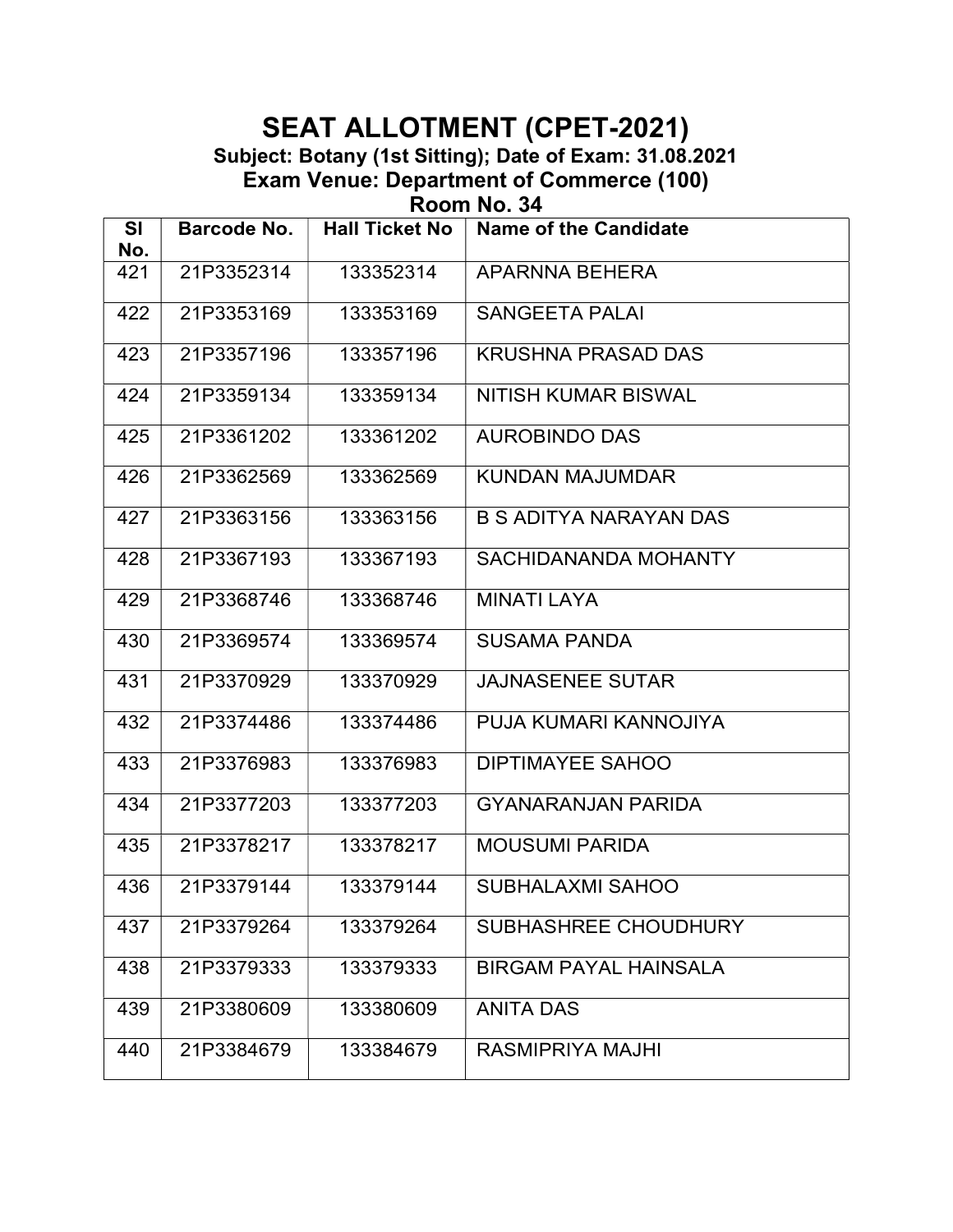Subject: Botany (1st Sitting); Date of Exam: 31.08.2021 Exam Venue: Department of Commerce (100)

Room No. 34

| <b>SI</b><br>No. | <b>Barcode No.</b> | <b>Hall Ticket No</b> | <b>Name of the Candidate</b>  |
|------------------|--------------------|-----------------------|-------------------------------|
| 421              | 21P3352314         | 133352314             | APARNNA BEHERA                |
| 422              | 21P3353169         | 133353169             | <b>SANGEETA PALAI</b>         |
| 423              | 21P3357196         | 133357196             | <b>KRUSHNA PRASAD DAS</b>     |
| 424              | 21P3359134         | 133359134             | NITISH KUMAR BISWAL           |
| 425              | 21P3361202         | 133361202             | <b>AUROBINDO DAS</b>          |
| 426              | 21P3362569         | 133362569             | <b>KUNDAN MAJUMDAR</b>        |
| 427              | 21P3363156         | 133363156             | <b>B S ADITYA NARAYAN DAS</b> |
| 428              | 21P3367193         | 133367193             | SACHIDANANDA MOHANTY          |
| 429              | 21P3368746         | 133368746             | <b>MINATI LAYA</b>            |
| 430              | 21P3369574         | 133369574             | <b>SUSAMA PANDA</b>           |
| 431              | 21P3370929         | 133370929             | <b>JAJNASENEE SUTAR</b>       |
| 432              | 21P3374486         | 133374486             | PUJA KUMARI KANNOJIYA         |
| 433              | 21P3376983         | 133376983             | <b>DIPTIMAYEE SAHOO</b>       |
| 434              | 21P3377203         | 133377203             | <b>GYANARANJAN PARIDA</b>     |
| 435              | 21P3378217         | 133378217             | <b>MOUSUMI PARIDA</b>         |
| 436              | 21P3379144         | 133379144             | <b>SUBHALAXMI SAHOO</b>       |
| 437              | 21P3379264         | 133379264             | SUBHASHREE CHOUDHURY          |
| 438              | 21P3379333         | 133379333             | <b>BIRGAM PAYAL HAINSALA</b>  |
| 439              | 21P3380609         | 133380609             | <b>ANITA DAS</b>              |
| 440              | 21P3384679         | 133384679             | <b>RASMIPRIYA MAJHI</b>       |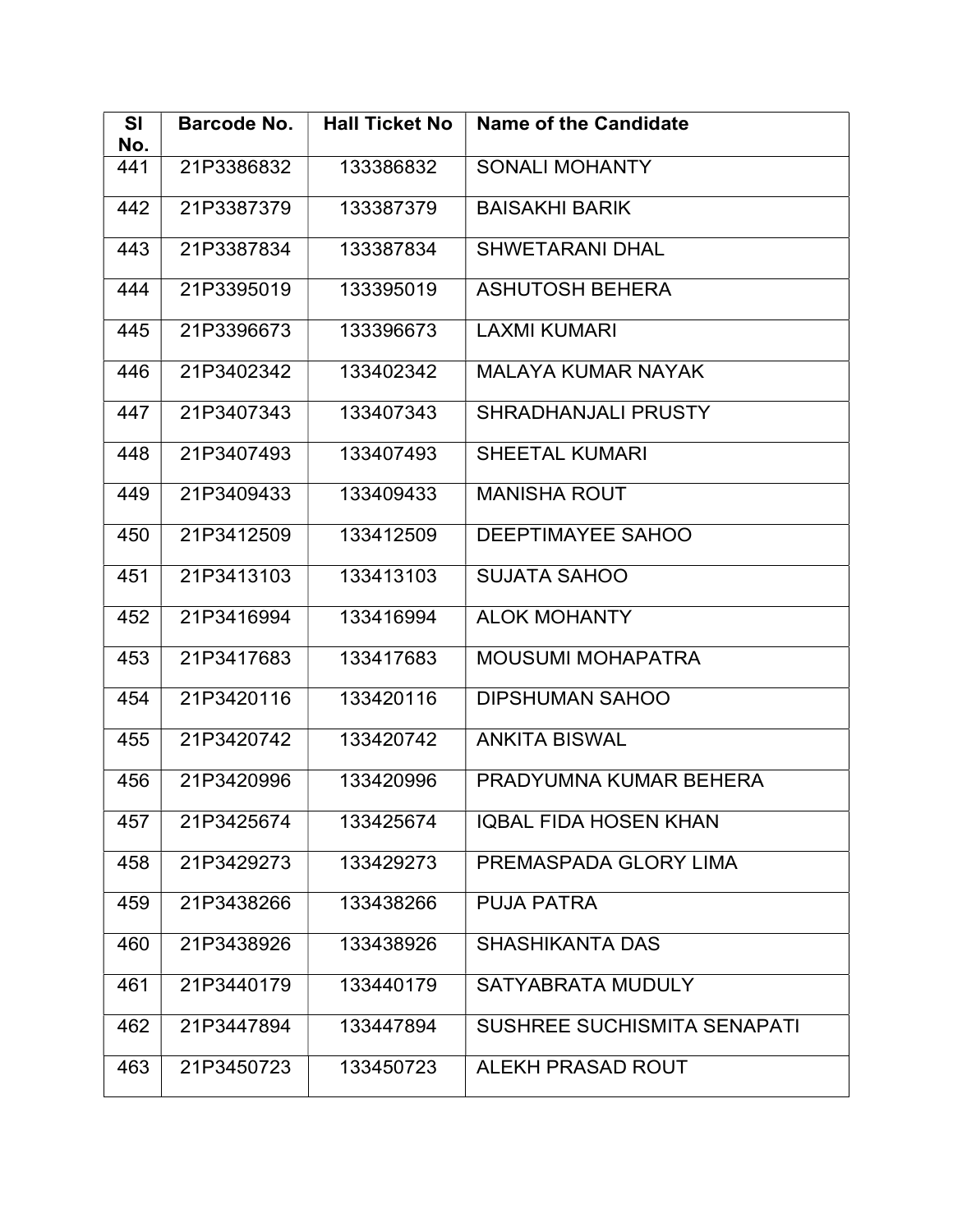| <b>SI</b><br>No. | <b>Barcode No.</b> | <b>Hall Ticket No</b> | <b>Name of the Candidate</b> |
|------------------|--------------------|-----------------------|------------------------------|
| 441              | 21P3386832         | 133386832             | <b>SONALI MOHANTY</b>        |
| 442              | 21P3387379         | 133387379             | <b>BAISAKHI BARIK</b>        |
| 443              | 21P3387834         | 133387834             | <b>SHWETARANI DHAL</b>       |
| 444              | 21P3395019         | 133395019             | <b>ASHUTOSH BEHERA</b>       |
| 445              | 21P3396673         | 133396673             | <b>LAXMI KUMARI</b>          |
| 446              | 21P3402342         | 133402342             | <b>MALAYA KUMAR NAYAK</b>    |
| 447              | 21P3407343         | 133407343             | SHRADHANJALI PRUSTY          |
| 448              | 21P3407493         | 133407493             | <b>SHEETAL KUMARI</b>        |
| 449              | 21P3409433         | 133409433             | <b>MANISHA ROUT</b>          |
| 450              | 21P3412509         | 133412509             | <b>DEEPTIMAYEE SAHOO</b>     |
| 451              | 21P3413103         | 133413103             | <b>SUJATA SAHOO</b>          |
| 452              | 21P3416994         | 133416994             | <b>ALOK MOHANTY</b>          |
| 453              | 21P3417683         | 133417683             | <b>MOUSUMI MOHAPATRA</b>     |
| 454              | 21P3420116         | 133420116             | <b>DIPSHUMAN SAHOO</b>       |
| 455              | 21P3420742         | 133420742             | <b>ANKITA BISWAL</b>         |
| 456              | 21P3420996         | 133420996             | PRADYUMNA KUMAR BEHERA       |
| 457              | 21P3425674         | 133425674             | <b>IQBAL FIDA HOSEN KHAN</b> |
| 458              | 21P3429273         | 133429273             | PREMASPADA GLORY LIMA        |
| 459              | 21P3438266         | 133438266             | <b>PUJA PATRA</b>            |
| 460              | 21P3438926         | 133438926             | <b>SHASHIKANTA DAS</b>       |
| 461              | 21P3440179         | 133440179             | SATYABRATA MUDULY            |
| 462              | 21P3447894         | 133447894             | SUSHREE SUCHISMITA SENAPATI  |
| 463              | 21P3450723         | 133450723             | ALEKH PRASAD ROUT            |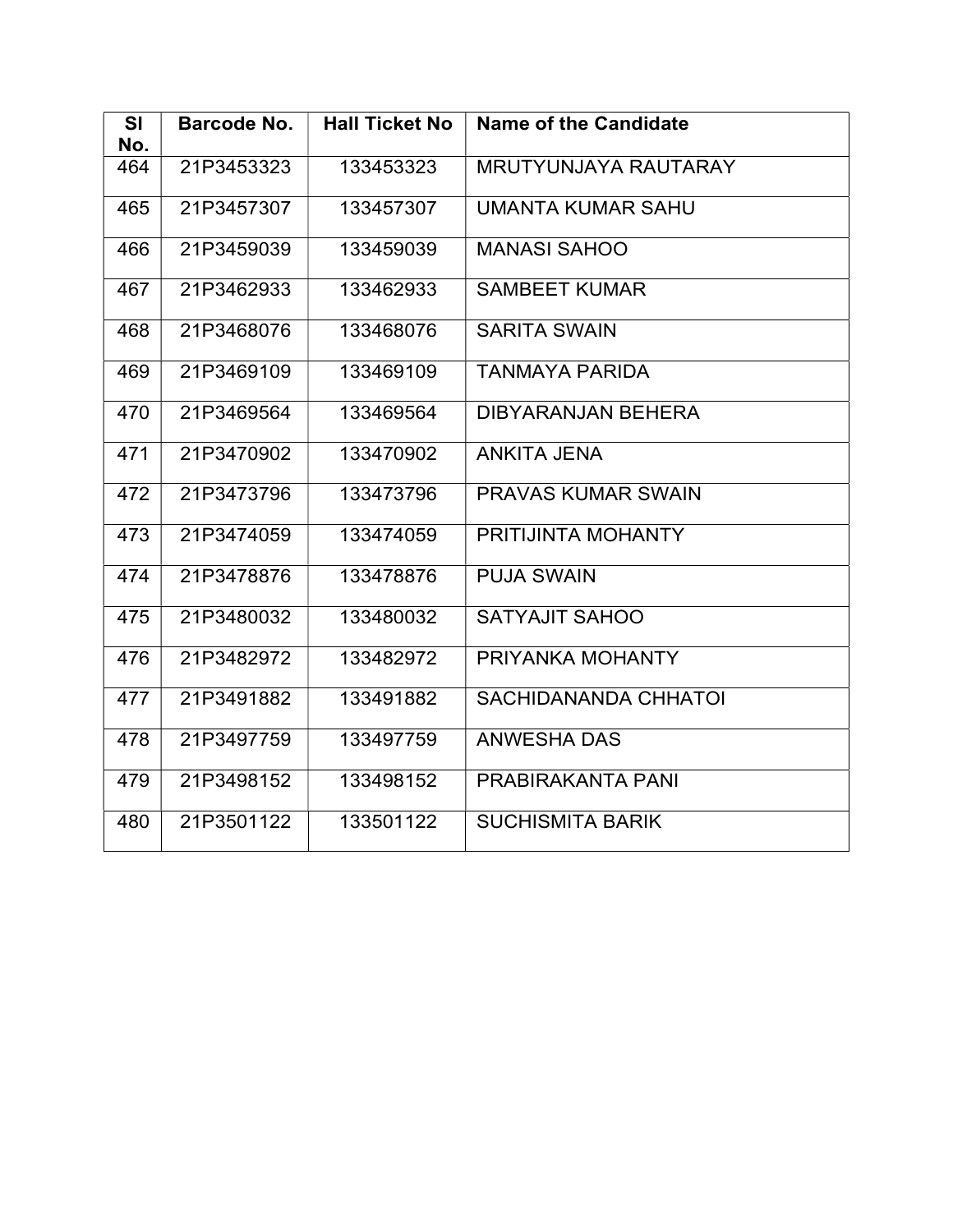| <b>Hall Ticket No</b><br><b>Name of the Candidate</b><br><b>SI</b><br><b>Barcode No.</b> |  |
|------------------------------------------------------------------------------------------|--|
| No.<br>464<br>21P3453323<br>133453323<br><b>MRUTYUNJAYA RAUTARAY</b>                     |  |
| 465<br>21P3457307<br>133457307<br><b>UMANTA KUMAR SAHU</b>                               |  |
| 21P3459039<br>133459039<br><b>MANASI SAHOO</b><br>466                                    |  |
| <b>SAMBEET KUMAR</b><br>467<br>21P3462933<br>133462933                                   |  |
| <b>SARITA SWAIN</b><br>468<br>21P3468076<br>133468076                                    |  |
| <b>TANMAYA PARIDA</b><br>21P3469109<br>133469109<br>469                                  |  |
| 21P3469564<br><b>DIBYARANJAN BEHERA</b><br>470<br>133469564                              |  |
| <b>ANKITA JENA</b><br>471<br>21P3470902<br>133470902                                     |  |
| 472<br>21P3473796<br>133473796<br><b>PRAVAS KUMAR SWAIN</b>                              |  |
| 21P3474059<br>133474059<br>PRITIJINTA MOHANTY<br>473                                     |  |
| <b>PUJA SWAIN</b><br>21P3478876<br>133478876<br>474                                      |  |
| 21P3480032<br>133480032<br><b>SATYAJIT SAHOO</b><br>475                                  |  |
| PRIYANKA MOHANTY<br>21P3482972<br>133482972<br>476                                       |  |
| <b>SACHIDANANDA CHHATOI</b><br>21P3491882<br>133491882<br>477                            |  |
| <b>ANWESHA DAS</b><br>478<br>21P3497759<br>133497759                                     |  |
| 479<br>21P3498152<br>133498152<br>PRABIRAKANTA PANI                                      |  |
| 21P3501122<br>133501122<br><b>SUCHISMITA BARIK</b><br>480                                |  |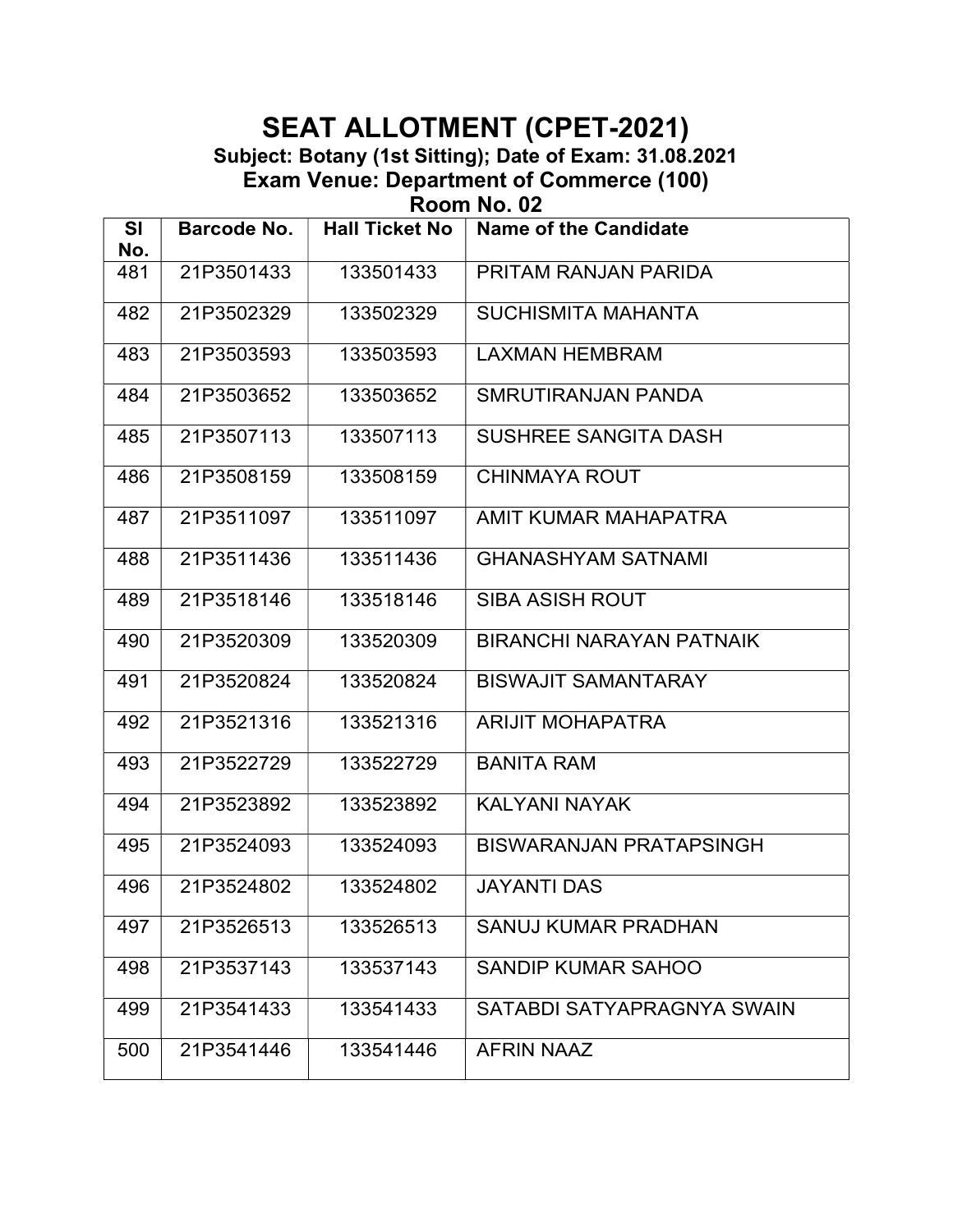Subject: Botany (1st Sitting); Date of Exam: 31.08.2021 Exam Venue: Department of Commerce (100)

Room No. 02

| <b>SI</b><br>No. | Barcode No. | <b>Hall Ticket No</b> | <b>Name of the Candidate</b>    |
|------------------|-------------|-----------------------|---------------------------------|
| 481              | 21P3501433  | 133501433             | PRITAM RANJAN PARIDA            |
| 482              | 21P3502329  | 133502329             | <b>SUCHISMITA MAHANTA</b>       |
| 483              | 21P3503593  | 133503593             | <b>LAXMAN HEMBRAM</b>           |
| 484              | 21P3503652  | 133503652             | SMRUTIRANJAN PANDA              |
| 485              | 21P3507113  | 133507113             | <b>SUSHREE SANGITA DASH</b>     |
| 486              | 21P3508159  | 133508159             | <b>CHINMAYA ROUT</b>            |
| 487              | 21P3511097  | 133511097             | AMIT KUMAR MAHAPATRA            |
| 488              | 21P3511436  | 133511436             | <b>GHANASHYAM SATNAMI</b>       |
| 489              | 21P3518146  | 133518146             | <b>SIBA ASISH ROUT</b>          |
| 490              | 21P3520309  | 133520309             | <b>BIRANCHI NARAYAN PATNAIK</b> |
| 491              | 21P3520824  | 133520824             | <b>BISWAJIT SAMANTARAY</b>      |
| 492              | 21P3521316  | 133521316             | <b>ARIJIT MOHAPATRA</b>         |
| 493              | 21P3522729  | 133522729             | <b>BANITA RAM</b>               |
| 494              | 21P3523892  | 133523892             | <b>KALYANI NAYAK</b>            |
| 495              | 21P3524093  | 133524093             | <b>BISWARANJAN PRATAPSINGH</b>  |
| 496              | 21P3524802  | 133524802             | <b>JAYANTI DAS</b>              |
| 497              | 21P3526513  | 133526513             | <b>SANUJ KUMAR PRADHAN</b>      |
| 498              | 21P3537143  | 133537143             | SANDIP KUMAR SAHOO              |
| 499              | 21P3541433  | 133541433             | SATABDI SATYAPRAGNYA SWAIN      |
| 500              | 21P3541446  | 133541446             | <b>AFRIN NAAZ</b>               |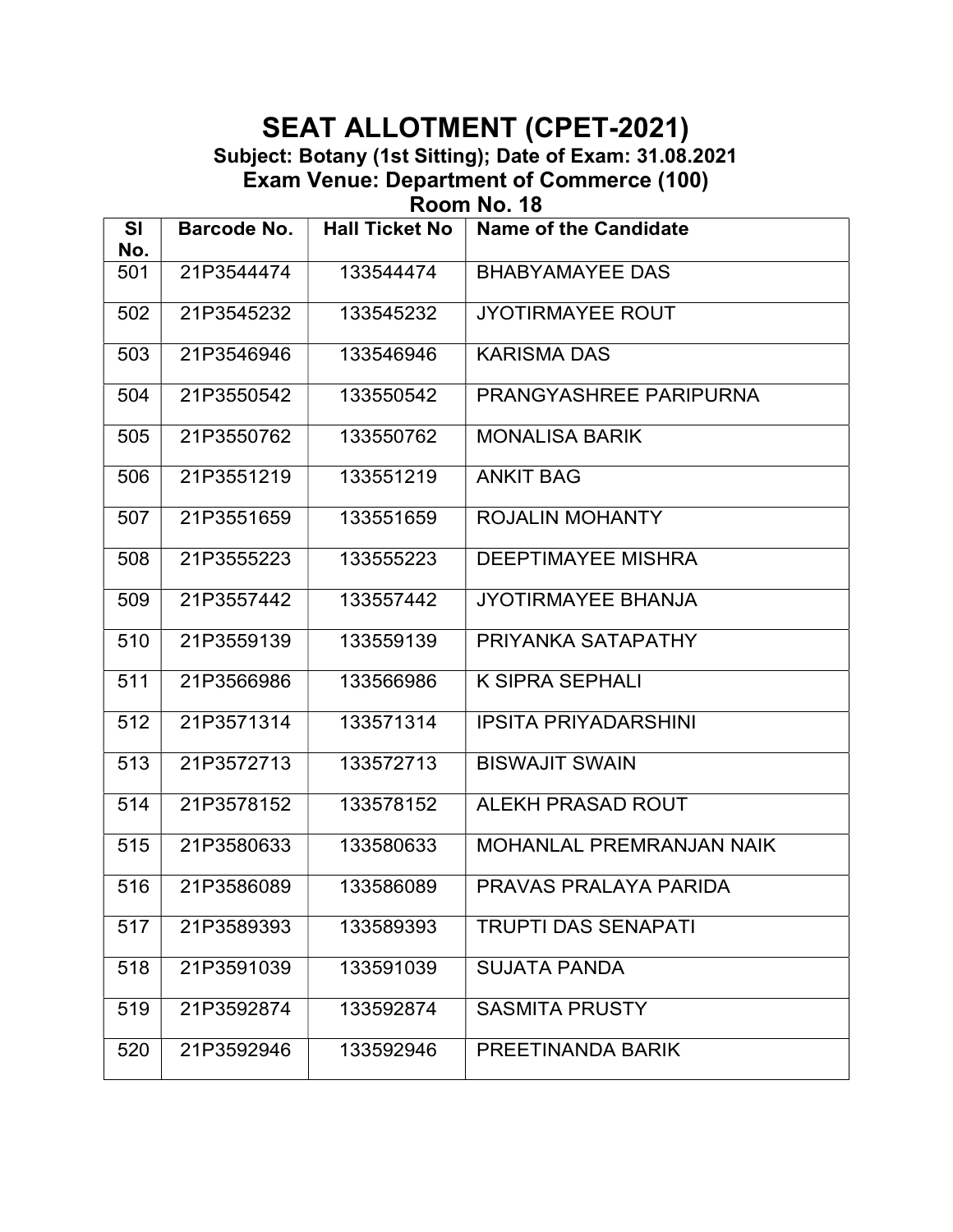Subject: Botany (1st Sitting); Date of Exam: 31.08.2021 Exam Venue: Department of Commerce (100)

Room No. 18

| <b>SI</b><br>No. | Barcode No. | <b>Hall Ticket No</b> | <b>Name of the Candidate</b>    |  |
|------------------|-------------|-----------------------|---------------------------------|--|
| 501              | 21P3544474  | 133544474             | <b>BHABYAMAYEE DAS</b>          |  |
| 502              | 21P3545232  | 133545232             | <b>JYOTIRMAYEE ROUT</b>         |  |
| 503              | 21P3546946  | 133546946             | <b>KARISMA DAS</b>              |  |
| 504              | 21P3550542  | 133550542             | PRANGYASHREE PARIPURNA          |  |
| 505              | 21P3550762  | 133550762             | <b>MONALISA BARIK</b>           |  |
| 506              | 21P3551219  | 133551219             | <b>ANKIT BAG</b>                |  |
| 507              | 21P3551659  | 133551659             | <b>ROJALIN MOHANTY</b>          |  |
| 508              | 21P3555223  | 133555223             | <b>DEEPTIMAYEE MISHRA</b>       |  |
| 509              | 21P3557442  | 133557442             | <b>JYOTIRMAYEE BHANJA</b>       |  |
| 510              | 21P3559139  | 133559139             | PRIYANKA SATAPATHY              |  |
| 511              | 21P3566986  | 133566986             | <b>K SIPRA SEPHALI</b>          |  |
| 512              | 21P3571314  | 133571314             | <b>IPSITA PRIYADARSHINI</b>     |  |
| 513              | 21P3572713  | 133572713             | <b>BISWAJIT SWAIN</b>           |  |
| 514              | 21P3578152  | 133578152             | ALEKH PRASAD ROUT               |  |
| 515              | 21P3580633  | 133580633             | <b>MOHANLAL PREMRANJAN NAIK</b> |  |
| 516              | 21P3586089  | 133586089             | PRAVAS PRALAYA PARIDA           |  |
| 517              | 21P3589393  | 133589393             | <b>TRUPTI DAS SENAPATI</b>      |  |
| 518              | 21P3591039  | 133591039             | <b>SUJATA PANDA</b>             |  |
| 519              | 21P3592874  | 133592874             | <b>SASMITA PRUSTY</b>           |  |
| 520              | 21P3592946  | 133592946             | PREETINANDA BARIK               |  |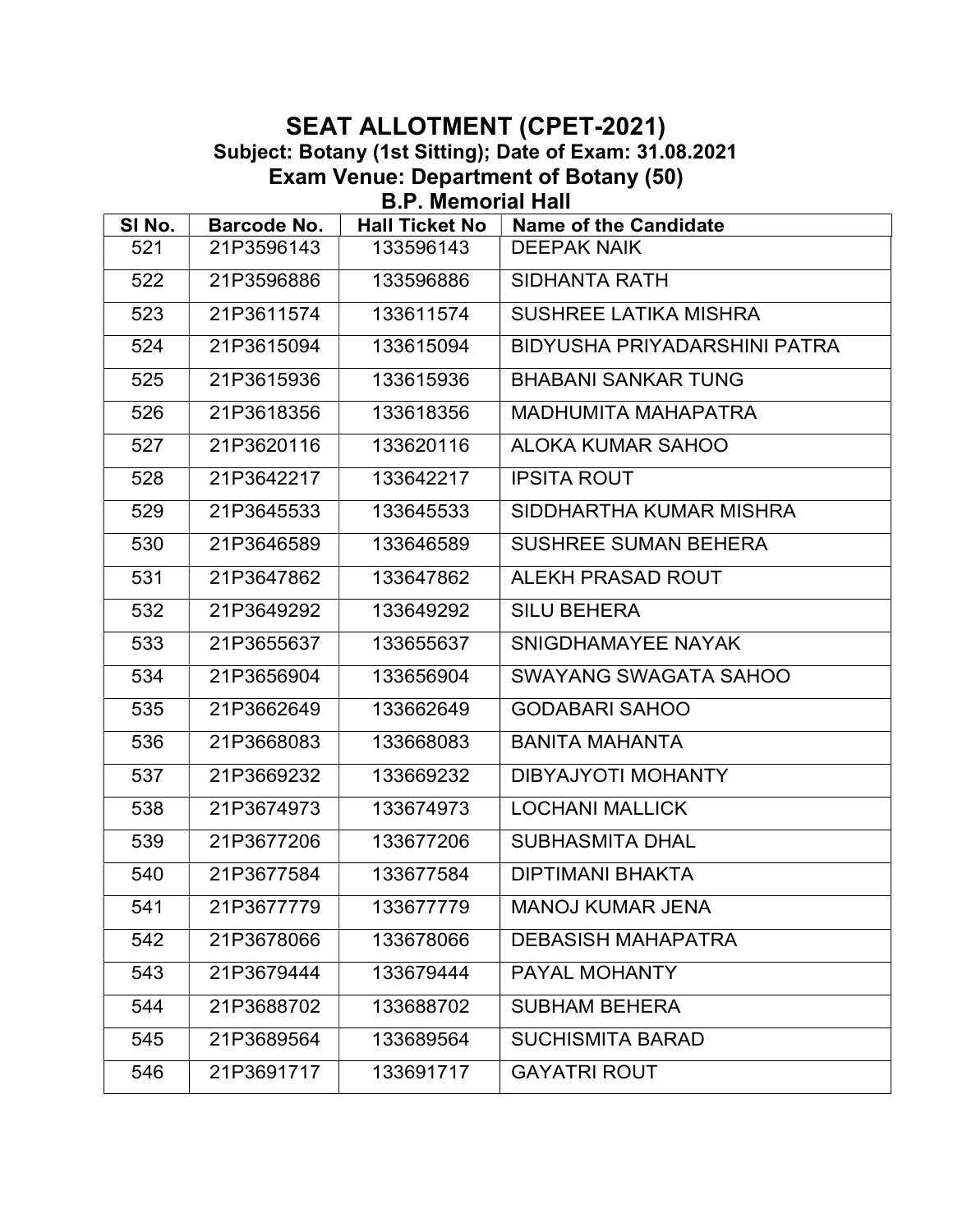#### SEAT ALLOTMENT (CPET-2021) Subject: Botany (1st Sitting); Date of Exam: 31.08.2021 Exam Venue: Department of Botany (50) B.P. Memorial Hall

| SI No. | Barcode No. | <b>Hall Ticket No</b> | <b>Name of the Candidate</b> |  |
|--------|-------------|-----------------------|------------------------------|--|
| 521    | 21P3596143  | 133596143             | <b>DEEPAK NAIK</b>           |  |
| 522    | 21P3596886  | 133596886             | <b>SIDHANTA RATH</b>         |  |
| 523    | 21P3611574  | 133611574             | <b>SUSHREE LATIKA MISHRA</b> |  |
| 524    | 21P3615094  | 133615094             | BIDYUSHA PRIYADARSHINI PATRA |  |
| 525    | 21P3615936  | 133615936             | <b>BHABANI SANKAR TUNG</b>   |  |
| 526    | 21P3618356  | 133618356             | <b>MADHUMITA MAHAPATRA</b>   |  |
| 527    | 21P3620116  | 133620116             | <b>ALOKA KUMAR SAHOO</b>     |  |
| 528    | 21P3642217  | 133642217             | <b>IPSITA ROUT</b>           |  |
| 529    | 21P3645533  | 133645533             | SIDDHARTHA KUMAR MISHRA      |  |
| 530    | 21P3646589  | 133646589             | <b>SUSHREE SUMAN BEHERA</b>  |  |
| 531    | 21P3647862  | 133647862             | <b>ALEKH PRASAD ROUT</b>     |  |
| 532    | 21P3649292  | 133649292             | <b>SILU BEHERA</b>           |  |
| 533    | 21P3655637  | 133655637             | SNIGDHAMAYEE NAYAK           |  |
| 534    | 21P3656904  | 133656904             | SWAYANG SWAGATA SAHOO        |  |
| 535    | 21P3662649  | 133662649             | <b>GODABARI SAHOO</b>        |  |
| 536    | 21P3668083  | 133668083             | <b>BANITA MAHANTA</b>        |  |
| 537    | 21P3669232  | 133669232             | DIBYAJYOTI MOHANTY           |  |
| 538    | 21P3674973  | 133674973             | <b>LOCHANI MALLICK</b>       |  |
| 539    | 21P3677206  | 133677206             | <b>SUBHASMITA DHAL</b>       |  |
| 540    | 21P3677584  | 133677584             | <b>DIPTIMANI BHAKTA</b>      |  |
| 541    | 21P3677779  | 133677779             | <b>MANOJ KUMAR JENA</b>      |  |
| 542    | 21P3678066  | 133678066             | <b>DEBASISH MAHAPATRA</b>    |  |
| 543    | 21P3679444  | 133679444             | PAYAL MOHANTY                |  |
| 544    | 21P3688702  | 133688702             | <b>SUBHAM BEHERA</b>         |  |
| 545    | 21P3689564  | 133689564             | <b>SUCHISMITA BARAD</b>      |  |
| 546    | 21P3691717  | 133691717             | <b>GAYATRI ROUT</b>          |  |